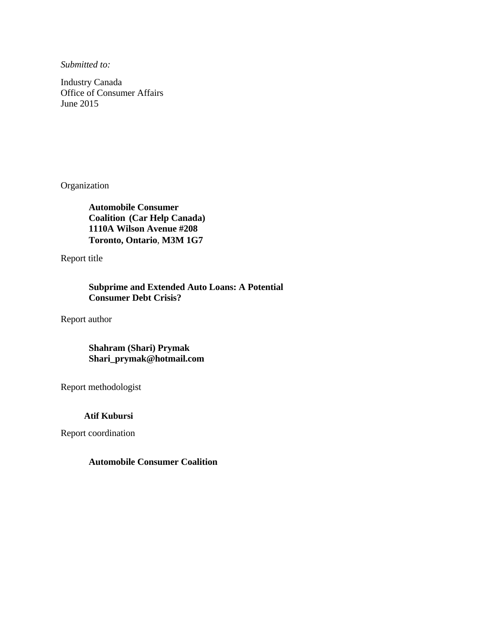*Submitted to:*

Industry Canada Office of Consumer Affairs June 2015

Organization

**Automobile Consumer Coalition (Car Help Canada) 1110A Wilson Avenue #208 Toronto, Ontario**, **M3M 1G7**

Report title

**Subprime and Extended Auto Loans: A Potential Consumer Debt Crisis?** 

Report author

## **Shahram (Shari) Prymak Shari\_prymak@hotmail.com**

Report methodologist

 **Atif Kubursi** 

Report coordination

### **Automobile Consumer Coalition**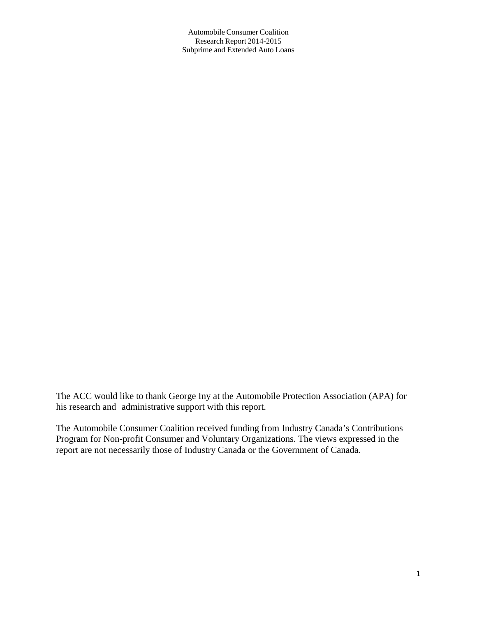The ACC would like to thank George Iny at the Automobile Protection Association (APA) for his research and administrative support with this report.

The Automobile Consumer Coalition received funding from Industry Canada's Contributions Program for Non-profit Consumer and Voluntary Organizations. The views expressed in the report are not necessarily those of Industry Canada or the Government of Canada.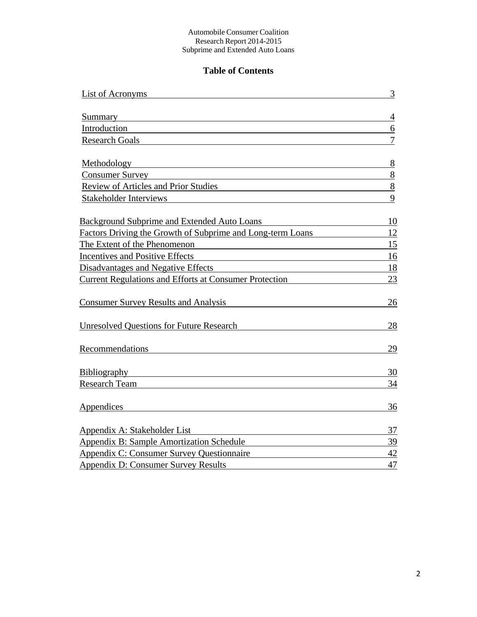## **Table of Contents**

| List of Acronyms                                              | 3              |
|---------------------------------------------------------------|----------------|
|                                                               |                |
| <b>Summary</b>                                                | $\overline{4}$ |
| Introduction                                                  | 6              |
| <b>Research Goals</b>                                         | $\overline{7}$ |
| Methodology                                                   | 8              |
| <b>Consumer Survey</b>                                        | 8              |
| Review of Articles and Prior Studies                          | 8              |
| <b>Stakeholder Interviews</b>                                 | 9              |
| <b>Background Subprime and Extended Auto Loans</b>            | 10             |
| Factors Driving the Growth of Subprime and Long-term Loans    | 12             |
| The Extent of the Phenomenon                                  | 15             |
| <b>Incentives and Positive Effects</b>                        | 16             |
| <b>Disadvantages and Negative Effects</b>                     | 18             |
| <b>Current Regulations and Efforts at Consumer Protection</b> | 23             |
| <b>Consumer Survey Results and Analysis</b>                   | 26             |
| <b>Unresolved Questions for Future Research</b>               | 28             |
| Recommendations                                               | 29             |
| <b>Bibliography</b>                                           | 30             |
| Research Team                                                 | 34             |
| Appendices                                                    | 36             |
| Appendix A: Stakeholder List                                  | 37             |
| <b>Appendix B: Sample Amortization Schedule</b>               | 39             |
| Appendix C: Consumer Survey Questionnaire                     | $42\,$         |
| <b>Appendix D: Consumer Survey Results</b>                    | 47             |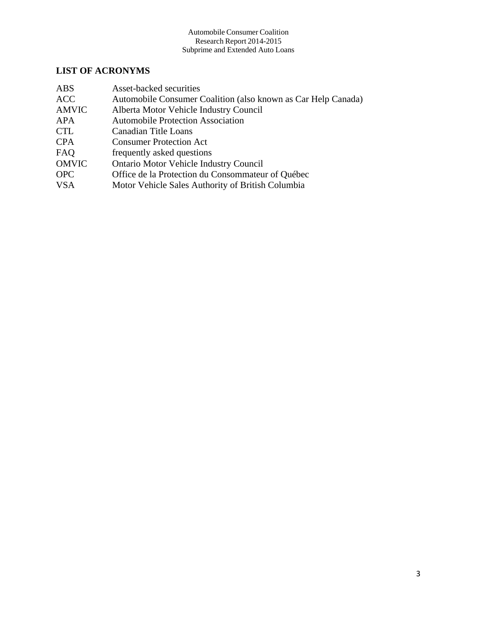## **LIST OF ACRONYMS**

| <b>ABS</b>   | Asset-backed securities                                       |
|--------------|---------------------------------------------------------------|
| <b>ACC</b>   | Automobile Consumer Coalition (also known as Car Help Canada) |
| <b>AMVIC</b> | Alberta Motor Vehicle Industry Council                        |
| APA          | <b>Automobile Protection Association</b>                      |
| <b>CTL</b>   | Canadian Title Loans                                          |
| <b>CPA</b>   | <b>Consumer Protection Act</b>                                |
| FAQ          | frequently asked questions                                    |
| <b>OMVIC</b> | <b>Ontario Motor Vehicle Industry Council</b>                 |
| <b>OPC</b>   | Office de la Protection du Consommateur of Québec             |
| <b>VSA</b>   | Motor Vehicle Sales Authority of British Columbia             |
|              |                                                               |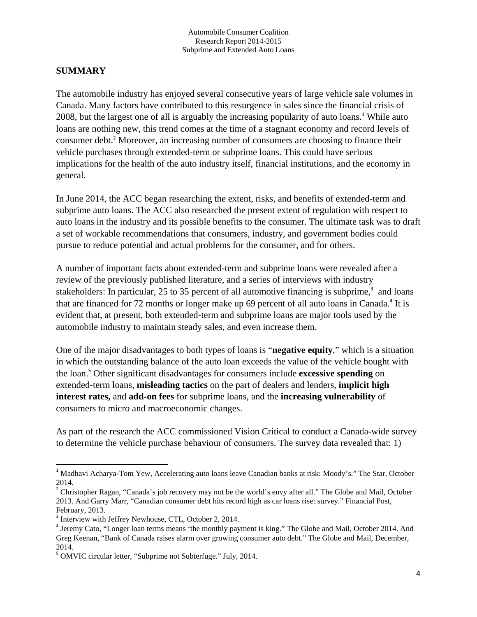## **SUMMARY**

The automobile industry has enjoyed several consecutive years of large vehicle sale volumes in Canada. Many factors have contributed to this resurgence in sales since the financial crisis of 2008, but the largest one of all is arguably the increasing popularity of auto loans.<sup>1</sup> While auto loans are nothing new, this trend comes at the time of a stagnant economy and record levels of consumer debt.<sup>2</sup> Moreover, an increasing number of consumers are choosing to finance their vehicle purchases through extended-term or subprime loans. This could have serious implications for the health of the auto industry itself, financial institutions, and the economy in general.

In June 2014, the ACC began researching the extent, risks, and benefits of extended-term and subprime auto loans. The ACC also researched the present extent of regulation with respect to auto loans in the industry and its possible benefits to the consumer. The ultimate task was to draft a set of workable recommendations that consumers, industry, and government bodies could pursue to reduce potential and actual problems for the consumer, and for others.

A number of important facts about extended-term and subprime loans were revealed after a review of the previously published literature, and a series of interviews with industry stakeholders: In particular, 25 to 35 percent of all automotive financing is subprime, $3$  and loans that are financed for 72 months or longer make up 69 percent of all auto loans in Canada.<sup>4</sup> It is evident that, at present, both extended-term and subprime loans are major tools used by the automobile industry to maintain steady sales, and even increase them.

One of the major disadvantages to both types of loans is "**negative equity**," which is a situation in which the outstanding balance of the auto loan exceeds the value of the vehicle bought with the loan.<sup>5</sup> Other significant disadvantages for consumers include **excessive spending** on extended-term loans, **misleading tactics** on the part of dealers and lenders, **implicit high interest rates,** and **add-on fees** for subprime loans, and the **increasing vulnerability** of consumers to micro and macroeconomic changes.

As part of the research the ACC commissioned Vision Critical to conduct a Canada-wide survey to determine the vehicle purchase behaviour of consumers. The survey data revealed that: 1)

<sup>&</sup>lt;sup>1</sup> Madhavi Acharya-Tom Yew, Accelerating auto loans leave Canadian banks at risk: Moody's." The Star, October 2014.

<sup>&</sup>lt;sup>2</sup> Christopher Ragan, "Canada's job recovery may not be the world's envy after all." The Globe and Mail, October 2013. And Garry Marr, "Canadian consumer debt hits record high as car loans rise: survey." Financial Post, February, 2013.

<sup>&</sup>lt;sup>3</sup> Interview with Jeffrey Newhouse, CTL, October 2, 2014.

<sup>4</sup> Jeremy Cato, "Longer loan terms means 'the monthly payment is king." The Globe and Mail, October 2014. And Greg Keenan, "Bank of Canada raises alarm over growing consumer auto debt." The Globe and Mail, December, 2014.

<sup>5</sup> OMVIC circular letter, "Subprime not Subterfuge." July, 2014.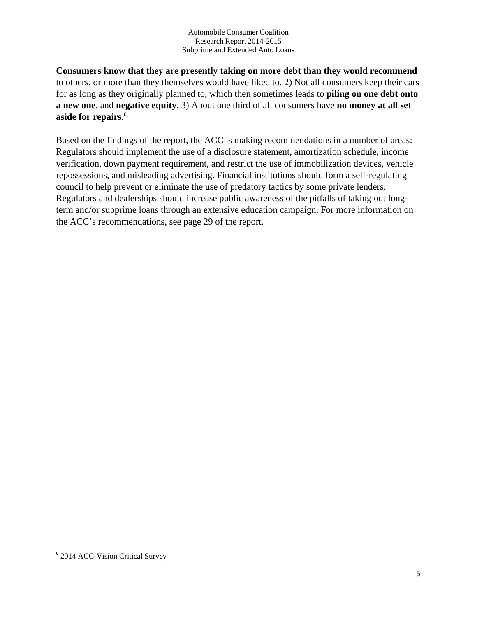**Consumers know that they are presently taking on more debt than they would recommend** to others, or more than they themselves would have liked to. 2) Not all consumers keep their cars for as long as they originally planned to, which then sometimes leads to **piling on one debt onto a new one**, and **negative equity**. 3) About one third of all consumers have **no money at all set aside for repairs**. 6

Based on the findings of the report, the ACC is making recommendations in a number of areas: Regulators should implement the use of a disclosure statement, amortization schedule, income verification, down payment requirement, and restrict the use of immobilization devices, vehicle repossessions, and misleading advertising. Financial institutions should form a self-regulating council to help prevent or eliminate the use of predatory tactics by some private lenders. Regulators and dealerships should increase public awareness of the pitfalls of taking out longterm and/or subprime loans through an extensive education campaign. For more information on the ACC's recommendations, see page 29 of the report.

 <sup>6</sup> 2014 ACC-Vision Critical Survey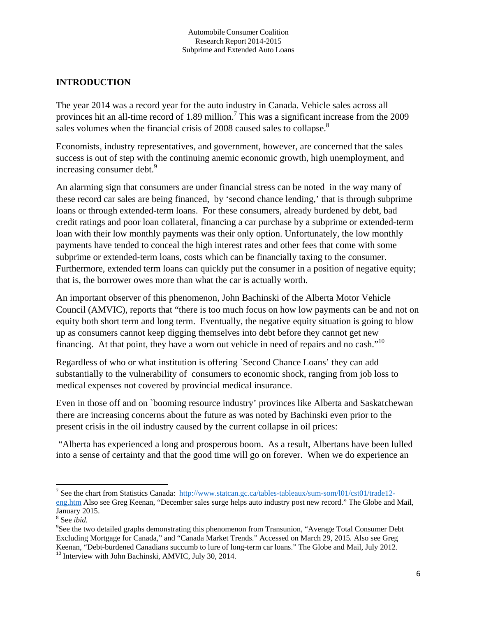## **INTRODUCTION**

The year 2014 was a record year for the auto industry in Canada. Vehicle sales across all provinces hit an all-time record of 1.89 million.<sup>7</sup> This was a significant increase from the 2009 sales volumes when the financial crisis of 2008 caused sales to collapse.<sup>8</sup>

Economists, industry representatives, and government, however, are concerned that the sales success is out of step with the continuing anemic economic growth, high unemployment, and increasing consumer debt.<sup>9</sup>

An alarming sign that consumers are under financial stress can be noted in the way many of these record car sales are being financed, by 'second chance lending,' that is through subprime loans or through extended-term loans. For these consumers, already burdened by debt, bad credit ratings and poor loan collateral, financing a car purchase by a subprime or extended-term loan with their low monthly payments was their only option. Unfortunately, the low monthly payments have tended to conceal the high interest rates and other fees that come with some subprime or extended-term loans, costs which can be financially taxing to the consumer. Furthermore, extended term loans can quickly put the consumer in a position of negative equity; that is, the borrower owes more than what the car is actually worth.

An important observer of this phenomenon, John Bachinski of the Alberta Motor Vehicle Council (AMVIC), reports that "there is too much focus on how low payments can be and not on equity both short term and long term. Eventually, the negative equity situation is going to blow up as consumers cannot keep digging themselves into debt before they cannot get new financing. At that point, they have a worn out vehicle in need of repairs and no cash."10

Regardless of who or what institution is offering `Second Chance Loans' they can add substantially to the vulnerability of consumers to economic shock, ranging from job loss to medical expenses not covered by provincial medical insurance.

Even in those off and on `booming resource industry' provinces like Alberta and Saskatchewan there are increasing concerns about the future as was noted by Bachinski even prior to the present crisis in the oil industry caused by the current collapse in oil prices:

 "Alberta has experienced a long and prosperous boom. As a result, Albertans have been lulled into a sense of certainty and that the good time will go on forever. When we do experience an

 <sup>7</sup> See the chart from Statistics Canada: http://www.statcan.gc.ca/tables-tableaux/sum-som/l01/cst01/trade12eng.htm Also see Greg Keenan, "December sales surge helps auto industry post new record." The Globe and Mail, January 2015.

 $\frac{8}{9}$  See *ibid*.

<sup>&</sup>lt;sup>9</sup>See the two detailed graphs demonstrating this phenomenon from Transunion, "Average Total Consumer Debt Excluding Mortgage for Canada," and "Canada Market Trends." Accessed on March 29, 2015*.* Also see Greg Keenan, "Debt-burdened Canadians succumb to lure of long-term car loans." The Globe and Mail, July 2012. <sup>10</sup> Interview with John Bachinski, AMVIC, July 30, 2014.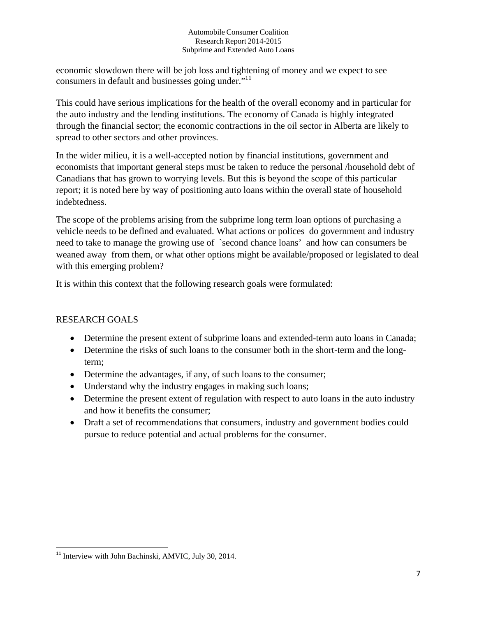economic slowdown there will be job loss and tightening of money and we expect to see consumers in default and businesses going under."<sup>11</sup>

This could have serious implications for the health of the overall economy and in particular for the auto industry and the lending institutions. The economy of Canada is highly integrated through the financial sector; the economic contractions in the oil sector in Alberta are likely to spread to other sectors and other provinces.

In the wider milieu, it is a well-accepted notion by financial institutions, government and economists that important general steps must be taken to reduce the personal /household debt of Canadians that has grown to worrying levels. But this is beyond the scope of this particular report; it is noted here by way of positioning auto loans within the overall state of household indebtedness.

The scope of the problems arising from the subprime long term loan options of purchasing a vehicle needs to be defined and evaluated. What actions or polices do government and industry need to take to manage the growing use of `second chance loans' and how can consumers be weaned away from them, or what other options might be available/proposed or legislated to deal with this emerging problem?

It is within this context that the following research goals were formulated:

## RESEARCH GOALS

- Determine the present extent of subprime loans and extended-term auto loans in Canada;
- Determine the risks of such loans to the consumer both in the short-term and the longterm;
- Determine the advantages, if any, of such loans to the consumer;
- Understand why the industry engages in making such loans;
- Determine the present extent of regulation with respect to auto loans in the auto industry and how it benefits the consumer;
- Draft a set of recommendations that consumers, industry and government bodies could pursue to reduce potential and actual problems for the consumer.

<sup>&</sup>lt;sup>11</sup> Interview with John Bachinski, AMVIC, July 30, 2014.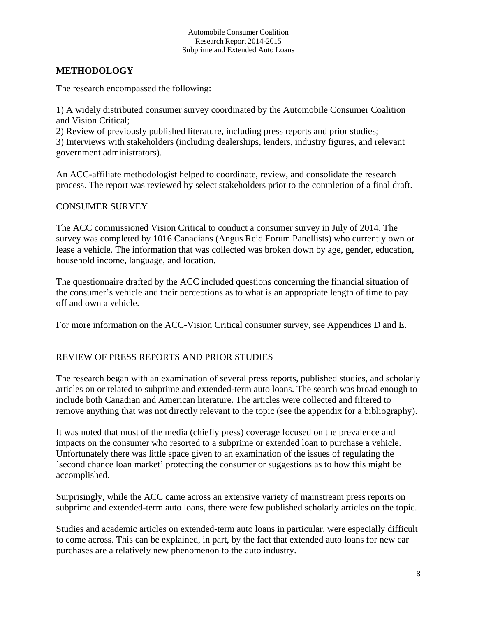## **METHODOLOGY**

The research encompassed the following:

1) A widely distributed consumer survey coordinated by the Automobile Consumer Coalition and Vision Critical;

2) Review of previously published literature, including press reports and prior studies; 3) Interviews with stakeholders (including dealerships, lenders, industry figures, and relevant government administrators).

An ACC-affiliate methodologist helped to coordinate, review, and consolidate the research process. The report was reviewed by select stakeholders prior to the completion of a final draft.

### CONSUMER SURVEY

The ACC commissioned Vision Critical to conduct a consumer survey in July of 2014. The survey was completed by 1016 Canadians (Angus Reid Forum Panellists) who currently own or lease a vehicle. The information that was collected was broken down by age, gender, education, household income, language, and location.

The questionnaire drafted by the ACC included questions concerning the financial situation of the consumer's vehicle and their perceptions as to what is an appropriate length of time to pay off and own a vehicle.

For more information on the ACC-Vision Critical consumer survey, see Appendices D and E.

## REVIEW OF PRESS REPORTS AND PRIOR STUDIES

The research began with an examination of several press reports, published studies, and scholarly articles on or related to subprime and extended-term auto loans. The search was broad enough to include both Canadian and American literature. The articles were collected and filtered to remove anything that was not directly relevant to the topic (see the appendix for a bibliography).

It was noted that most of the media (chiefly press) coverage focused on the prevalence and impacts on the consumer who resorted to a subprime or extended loan to purchase a vehicle. Unfortunately there was little space given to an examination of the issues of regulating the `second chance loan market' protecting the consumer or suggestions as to how this might be accomplished.

Surprisingly, while the ACC came across an extensive variety of mainstream press reports on subprime and extended-term auto loans, there were few published scholarly articles on the topic.

Studies and academic articles on extended-term auto loans in particular, were especially difficult to come across. This can be explained, in part, by the fact that extended auto loans for new car purchases are a relatively new phenomenon to the auto industry.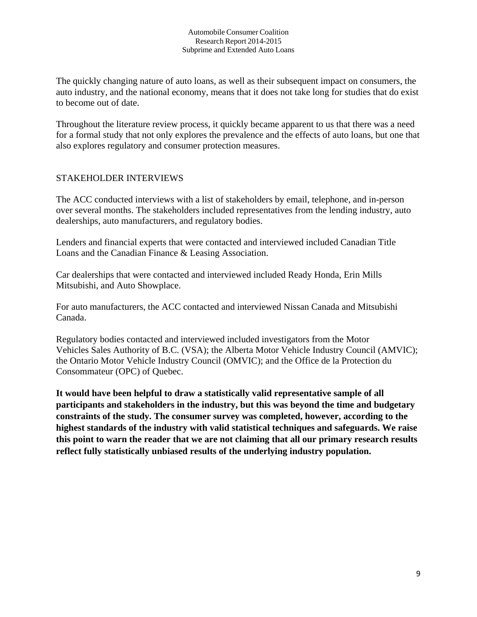The quickly changing nature of auto loans, as well as their subsequent impact on consumers, the auto industry, and the national economy, means that it does not take long for studies that do exist to become out of date.

Throughout the literature review process, it quickly became apparent to us that there was a need for a formal study that not only explores the prevalence and the effects of auto loans, but one that also explores regulatory and consumer protection measures.

## STAKEHOLDER INTERVIEWS

The ACC conducted interviews with a list of stakeholders by email, telephone, and in-person over several months. The stakeholders included representatives from the lending industry, auto dealerships, auto manufacturers, and regulatory bodies.

Lenders and financial experts that were contacted and interviewed included Canadian Title Loans and the Canadian Finance & Leasing Association.

Car dealerships that were contacted and interviewed included Ready Honda, Erin Mills Mitsubishi, and Auto Showplace.

For auto manufacturers, the ACC contacted and interviewed Nissan Canada and Mitsubishi Canada.

Regulatory bodies contacted and interviewed included investigators from the Motor Vehicles Sales Authority of B.C. (VSA); the Alberta Motor Vehicle Industry Council (AMVIC); the Ontario Motor Vehicle Industry Council (OMVIC); and the Office de la Protection du Consommateur (OPC) of Quebec.

**It would have been helpful to draw a statistically valid representative sample of all participants and stakeholders in the industry, but this was beyond the time and budgetary constraints of the study. The consumer survey was completed, however, according to the highest standards of the industry with valid statistical techniques and safeguards. We raise this point to warn the reader that we are not claiming that all our primary research results reflect fully statistically unbiased results of the underlying industry population.**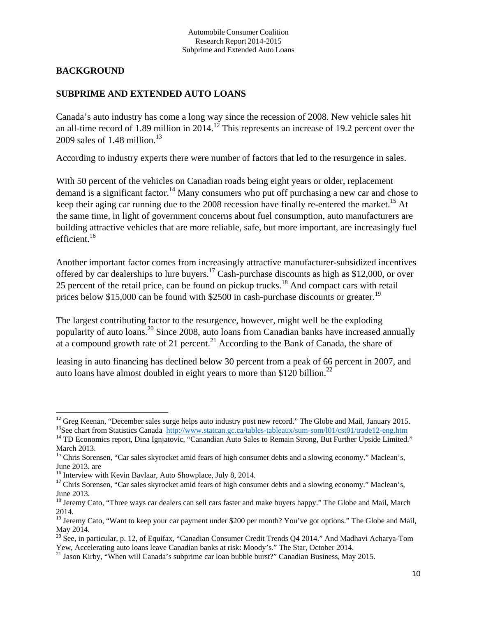## **BACKGROUND**

## **SUBPRIME AND EXTENDED AUTO LOANS**

Canada's auto industry has come a long way since the recession of 2008. New vehicle sales hit an all-time record of 1.89 million in 2014.<sup>12</sup> This represents an increase of 19.2 percent over the 2009 sales of 1.48 million.<sup>13</sup>

According to industry experts there were number of factors that led to the resurgence in sales.

With 50 percent of the vehicles on Canadian roads being eight years or older, replacement demand is a significant factor.<sup>14</sup> Many consumers who put off purchasing a new car and chose to keep their aging car running due to the 2008 recession have finally re-entered the market.<sup>15</sup> At the same time, in light of government concerns about fuel consumption, auto manufacturers are building attractive vehicles that are more reliable, safe, but more important, are increasingly fuel efficient.<sup>16</sup>

Another important factor comes from increasingly attractive manufacturer-subsidized incentives offered by car dealerships to lure buyers.<sup>17</sup> Cash-purchase discounts as high as \$12,000, or over 25 percent of the retail price, can be found on pickup trucks.<sup>18</sup> And compact cars with retail prices below \$15,000 can be found with \$2500 in cash-purchase discounts or greater.<sup>19</sup>

The largest contributing factor to the resurgence, however, might well be the exploding popularity of auto loans.20 Since 2008, auto loans from Canadian banks have increased annually at a compound growth rate of 21 percent.<sup>21</sup> According to the Bank of Canada, the share of

leasing in auto financing has declined below 30 percent from a peak of 66 percent in 2007, and auto loans have almost doubled in eight years to more than \$120 billion.<sup>22</sup>

<sup>&</sup>lt;sup>12</sup> Greg Keenan, "December sales surge helps auto industry post new record." The Globe and Mail, January 2015. <sup>13</sup>See chart from Statistics Canada http://www.statcan.gc.ca/tables-tableaux/sum-som/l01/cst01/trade12-eng.htm<br><sup>14</sup> TD Economics report, Dina Ignjatovic, "Canandian Auto Sales to Remain Strong, But Further Upside Limited.

March 2013.

<sup>&</sup>lt;sup>15</sup> Chris Sorensen, "Car sales skyrocket amid fears of high consumer debts and a slowing economy." Maclean's, June 2013. are<br><sup>16</sup> Interview with Kevin Bavlaar, Auto Showplace, July 8, 2014.

<sup>&</sup>lt;sup>17</sup> Chris Sorensen, "Car sales skyrocket amid fears of high consumer debts and a slowing economy." Maclean's, June 2013.

<sup>&</sup>lt;sup>18</sup> Jeremy Cato, "Three ways car dealers can sell cars faster and make buyers happy." The Globe and Mail, March 2014.

<sup>&</sup>lt;sup>19</sup> Jeremy Cato, "Want to keep your car payment under \$200 per month? You've got options." The Globe and Mail, May 2014.

 $^{20}$  See, in particular, p. 12, of Equifax, "Canadian Consumer Credit Trends Q4 2014." And Madhavi Acharya-Tom Yew, Accelerating auto loans leave Canadian banks at risk: Moody's." The Star, October 2014. 21 Jason Kirby, "When will Canada's subprime car loan bubble burst?" Canadian Business, May 2015.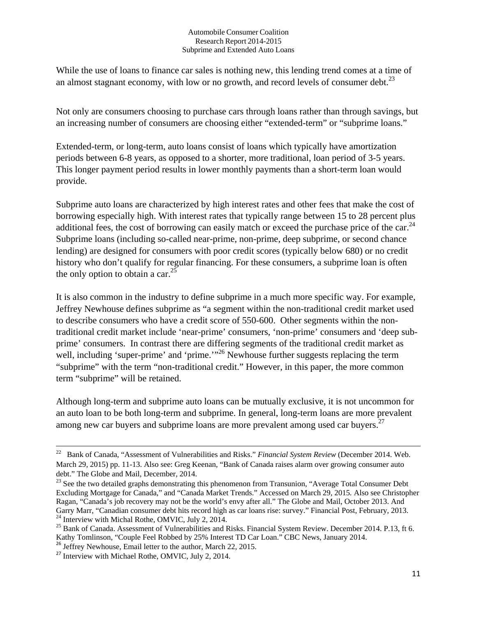While the use of loans to finance car sales is nothing new, this lending trend comes at a time of an almost stagnant economy, with low or no growth, and record levels of consumer debt. $^{23}$ 

Not only are consumers choosing to purchase cars through loans rather than through savings, but an increasing number of consumers are choosing either "extended-term" or "subprime loans."

Extended-term, or long-term, auto loans consist of loans which typically have amortization periods between 6-8 years, as opposed to a shorter, more traditional, loan period of 3-5 years. This longer payment period results in lower monthly payments than a short-term loan would provide.

Subprime auto loans are characterized by high interest rates and other fees that make the cost of borrowing especially high. With interest rates that typically range between 15 to 28 percent plus additional fees, the cost of borrowing can easily match or exceed the purchase price of the car. $^{24}$ Subprime loans (including so-called near-prime, non-prime, deep subprime, or second chance lending) are designed for consumers with poor credit scores (typically below 680) or no credit history who don't qualify for regular financing. For these consumers, a subprime loan is often the only option to obtain a car.  $25$ 

It is also common in the industry to define subprime in a much more specific way. For example, Jeffrey Newhouse defines subprime as "a segment within the non-traditional credit market used to describe consumers who have a credit score of 550-600. Other segments within the nontraditional credit market include 'near-prime' consumers, 'non-prime' consumers and 'deep subprime' consumers. In contrast there are differing segments of the traditional credit market as well, including 'super-prime' and 'prime.'<sup>26</sup> Newhouse further suggests replacing the term "subprime" with the term "non-traditional credit." However, in this paper, the more common term "subprime" will be retained.

Although long-term and subprime auto loans can be mutually exclusive, it is not uncommon for an auto loan to be both long-term and subprime. In general, long-term loans are more prevalent among new car buyers and subprime loans are more prevalent among used car buyers.<sup>27</sup>

<sup>&</sup>lt;sup>22</sup> Bank of Canada, "Assessment of Vulnerabilities and Risks." *Financial System Review* (December 2014. Web. March 29, 2015) pp. 11-13. Also see: Greg Keenan, "Bank of Canada raises alarm over growing consumer auto debt." The Globe and Mail, December, 2014.

<sup>&</sup>lt;sup>23</sup> See the two detailed graphs demonstrating this phenomenon from Transunion, "Average Total Consumer Debt Excluding Mortgage for Canada," and "Canada Market Trends." Accessed on March 29, 2015*.* Also see Christopher Ragan, "Canada's job recovery may not be the world's envy after all." The Globe and Mail, October 2013. And Garry Marr, "Canadian consumer debt hits record high as car loans rise: survey." Financial Post, February, 2013.<br><sup>24</sup> Interview with Michal Rothe, OMVIC, July 2, 2014.

 $^{25}$  Bank of Canada. Assessment of Vulnerabilities and Risks. Financial System Review. December 2014. P.13, ft 6. Kathy Tomlinson, "Couple Feel Robbed by 25% Interest TD Car Loan." CBC News, January 2014.

<sup>&</sup>lt;sup>26</sup> Jeffrey Newhouse, Email letter to the author, March 22, 2015.

<sup>&</sup>lt;sup>27</sup> Interview with Michael Rothe, OMVIC, July 2, 2014.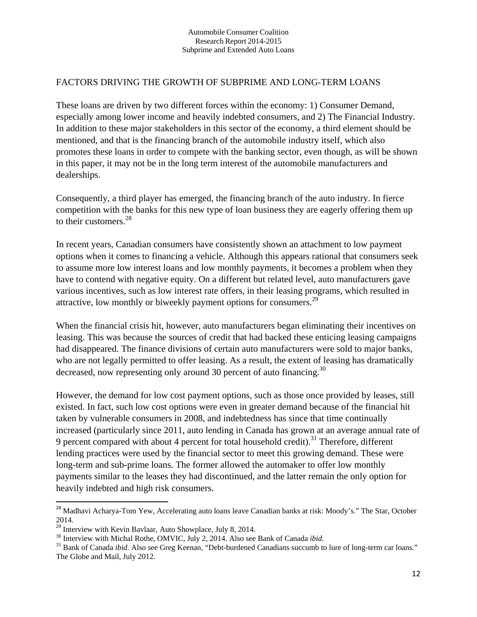## FACTORS DRIVING THE GROWTH OF SUBPRIME AND LONG-TERM LOANS

These loans are driven by two different forces within the economy: 1) Consumer Demand, especially among lower income and heavily indebted consumers, and 2) The Financial Industry. In addition to these major stakeholders in this sector of the economy, a third element should be mentioned, and that is the financing branch of the automobile industry itself, which also promotes these loans in order to compete with the banking sector, even though, as will be shown in this paper, it may not be in the long term interest of the automobile manufacturers and dealerships.

Consequently, a third player has emerged, the financing branch of the auto industry. In fierce competition with the banks for this new type of loan business they are eagerly offering them up to their customers. $^{28}$ 

In recent years, Canadian consumers have consistently shown an attachment to low payment options when it comes to financing a vehicle. Although this appears rational that consumers seek to assume more low interest loans and low monthly payments, it becomes a problem when they have to contend with negative equity. On a different but related level, auto manufacturers gave various incentives, such as low interest rate offers, in their leasing programs, which resulted in attractive, low monthly or biweekly payment options for consumers.<sup>29</sup>

When the financial crisis hit, however, auto manufacturers began eliminating their incentives on leasing. This was because the sources of credit that had backed these enticing leasing campaigns had disappeared. The finance divisions of certain auto manufacturers were sold to major banks, who are not legally permitted to offer leasing. As a result, the extent of leasing has dramatically decreased, now representing only around 30 percent of auto financing.<sup>30</sup>

However, the demand for low cost payment options, such as those once provided by leases, still existed. In fact, such low cost options were even in greater demand because of the financial hit taken by vulnerable consumers in 2008, and indebtedness has since that time continually increased (particularly since 2011, auto lending in Canada has grown at an average annual rate of 9 percent compared with about 4 percent for total household credit).<sup>31</sup> Therefore, different lending practices were used by the financial sector to meet this growing demand. These were long-term and sub-prime loans. The former allowed the automaker to offer low monthly payments similar to the leases they had discontinued, and the latter remain the only option for heavily indebted and high risk consumers.

<sup>&</sup>lt;sup>28</sup> Madhavi Acharya-Tom Yew, Accelerating auto loans leave Canadian banks at risk: Moody's." The Star, October

<sup>2014.&</sup>lt;br><sup>29</sup> Interview with Kevin Bavlaar, Auto Showplace, July 8, 2014.

 $30$  Interview with Michal Rothe, OMVIC, July 2, 2014. Also see Bank of Canada *ibid*.<br><sup>31</sup> Bank of Canada *ibid*. Also see Greg Keenan, "Debt-burdened Canadians succumb to lure of long-term car loans." The Globe and Mail, July 2012.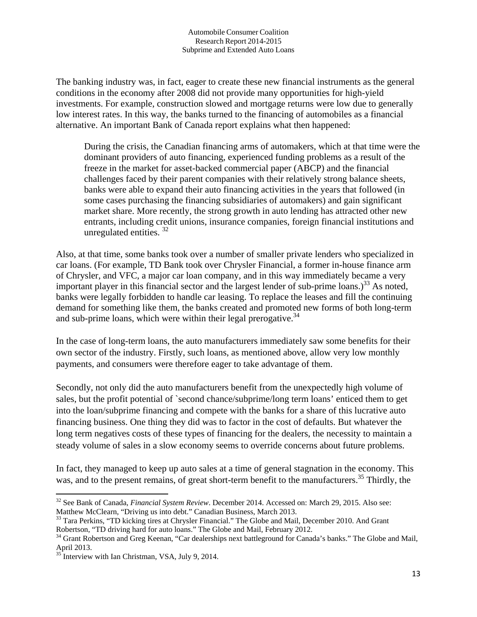The banking industry was, in fact, eager to create these new financial instruments as the general conditions in the economy after 2008 did not provide many opportunities for high-yield investments. For example, construction slowed and mortgage returns were low due to generally low interest rates. In this way, the banks turned to the financing of automobiles as a financial alternative. An important Bank of Canada report explains what then happened:

During the crisis, the Canadian financing arms of automakers, which at that time were the dominant providers of auto financing, experienced funding problems as a result of the freeze in the market for asset-backed commercial paper (ABCP) and the financial challenges faced by their parent companies with their relatively strong balance sheets, banks were able to expand their auto financing activities in the years that followed (in some cases purchasing the financing subsidiaries of automakers) and gain significant market share. More recently, the strong growth in auto lending has attracted other new entrants, including credit unions, insurance companies, foreign financial institutions and unregulated entities.  $32$ 

Also, at that time, some banks took over a number of smaller private lenders who specialized in car loans. (For example, TD Bank took over Chrysler Financial, a former in-house finance arm of Chrysler, and VFC, a major car loan company, and in this way immediately became a very important player in this financial sector and the largest lender of sub-prime loans.)<sup>33</sup> As noted, banks were legally forbidden to handle car leasing. To replace the leases and fill the continuing demand for something like them, the banks created and promoted new forms of both long-term and sub-prime loans, which were within their legal prerogative.  $34$ 

In the case of long-term loans, the auto manufacturers immediately saw some benefits for their own sector of the industry. Firstly, such loans, as mentioned above, allow very low monthly payments, and consumers were therefore eager to take advantage of them.

Secondly, not only did the auto manufacturers benefit from the unexpectedly high volume of sales, but the profit potential of `second chance/subprime/long term loans' enticed them to get into the loan/subprime financing and compete with the banks for a share of this lucrative auto financing business. One thing they did was to factor in the cost of defaults. But whatever the long term negatives costs of these types of financing for the dealers, the necessity to maintain a steady volume of sales in a slow economy seems to override concerns about future problems.

In fact, they managed to keep up auto sales at a time of general stagnation in the economy. This was, and to the present remains, of great short-term benefit to the manufacturers.<sup>35</sup> Thirdly, the

 32 See Bank of Canada, *Financial System Review*. December 2014. Accessed on: March 29, 2015. Also see: Matthew McClearn, "Driving us into debt." Canadian Business, March 2013.

<sup>&</sup>lt;sup>33</sup> Tara Perkins, "TD kicking tires at Chrysler Financial." The Globe and Mail, December 2010. And Grant Robertson, "TD driving hard for auto loans." The Globe and Mail, February 2012.

<sup>&</sup>lt;sup>34</sup> Grant Robertson and Greg Keenan, "Car dealerships next battleground for Canada's banks." The Globe and Mail, April 2013.

 $35$  Interview with Ian Christman, VSA, July 9, 2014.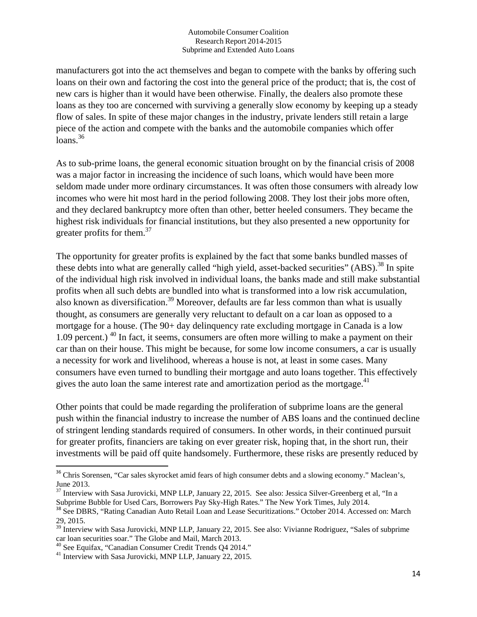manufacturers got into the act themselves and began to compete with the banks by offering such loans on their own and factoring the cost into the general price of the product; that is, the cost of new cars is higher than it would have been otherwise. Finally, the dealers also promote these loans as they too are concerned with surviving a generally slow economy by keeping up a steady flow of sales. In spite of these major changes in the industry, private lenders still retain a large piece of the action and compete with the banks and the automobile companies which offer  $loans.<sup>36</sup>$ 

As to sub-prime loans, the general economic situation brought on by the financial crisis of 2008 was a major factor in increasing the incidence of such loans, which would have been more seldom made under more ordinary circumstances. It was often those consumers with already low incomes who were hit most hard in the period following 2008. They lost their jobs more often, and they declared bankruptcy more often than other, better heeled consumers. They became the highest risk individuals for financial institutions, but they also presented a new opportunity for greater profits for them.<sup>37</sup>

The opportunity for greater profits is explained by the fact that some banks bundled masses of these debts into what are generally called "high yield, asset-backed securities" (ABS).<sup>38</sup> In spite of the individual high risk involved in individual loans, the banks made and still make substantial profits when all such debts are bundled into what is transformed into a low risk accumulation, also known as diversification.<sup>39</sup> Moreover, defaults are far less common than what is usually thought, as consumers are generally very reluctant to default on a car loan as opposed to a mortgage for a house. (The 90+ day delinquency rate excluding mortgage in Canada is a low 1.09 percent.) <sup>40</sup> In fact, it seems, consumers are often more willing to make a payment on their car than on their house. This might be because, for some low income consumers, a car is usually a necessity for work and livelihood, whereas a house is not, at least in some cases. Many consumers have even turned to bundling their mortgage and auto loans together. This effectively gives the auto loan the same interest rate and amortization period as the mortgage. $41$ 

Other points that could be made regarding the proliferation of subprime loans are the general push within the financial industry to increase the number of ABS loans and the continued decline of stringent lending standards required of consumers. In other words, in their continued pursuit for greater profits, financiers are taking on ever greater risk, hoping that, in the short run, their investments will be paid off quite handsomely. Furthermore, these risks are presently reduced by

<sup>&</sup>lt;sup>36</sup> Chris Sorensen, "Car sales skyrocket amid fears of high consumer debts and a slowing economy." Maclean's, June 2013.

<sup>&</sup>lt;sup>37</sup> Interview with Sasa Jurovicki, MNP LLP, January 22, 2015. See also: Jessica Silver-Greenberg et al, "In a Subprime Bubble for Used Cars, Borrowers Pay Sky-High Rates." The New York Times, July 2014.

<sup>&</sup>lt;sup>38</sup> See DBRS, "Rating Canadian Auto Retail Loan and Lease Securitizations." October 2014. Accessed on: March 29, 2015.

<sup>39</sup> Interview with Sasa Jurovicki, MNP LLP, January 22, 2015. See also: Vivianne Rodriguez, "Sales of subprime car loan securities soar." The Globe and Mail, March 2013.<br><sup>40</sup> See Equifax, "Canadian Consumer Credit Trends Q4 2014."<br><sup>41</sup> Interview with Sasa Jurovicki, MNP LLP, January 22, 2015.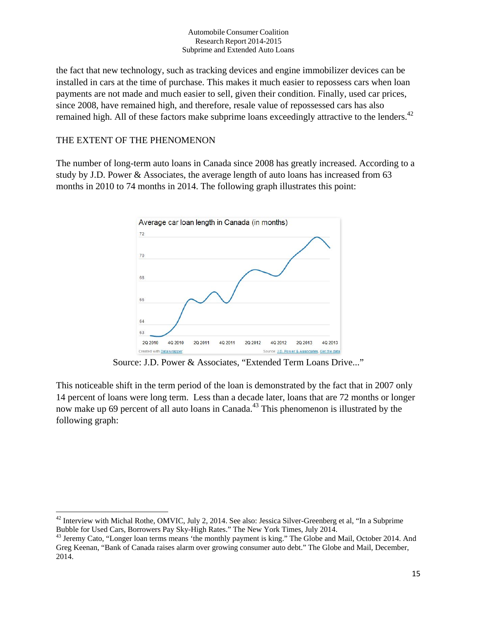the fact that new technology, such as tracking devices and engine immobilizer devices can be installed in cars at the time of purchase. This makes it much easier to repossess cars when loan payments are not made and much easier to sell, given their condition. Finally, used car prices, since 2008, have remained high, and therefore, resale value of repossessed cars has also remained high. All of these factors make subprime loans exceedingly attractive to the lenders.<sup>42</sup>

## THE EXTENT OF THE PHENOMENON

The number of long-term auto loans in Canada since 2008 has greatly increased. According to a study by J.D. Power & Associates, the average length of auto loans has increased from 63 months in 2010 to 74 months in 2014. The following graph illustrates this point:



Source: J.D. Power & Associates, "Extended Term Loans Drive..."

This noticeable shift in the term period of the loan is demonstrated by the fact that in 2007 only 14 percent of loans were long term. Less than a decade later, loans that are 72 months or longer now make up 69 percent of all auto loans in Canada.<sup>43</sup> This phenomenon is illustrated by the following graph:

 $42$  Interview with Michal Rothe, OMVIC, July 2, 2014. See also: Jessica Silver-Greenberg et al, "In a Subprime Bubble for Used Cars, Borrowers Pay Sky-High Rates." The New York Times, July 2014.

<sup>&</sup>lt;sup>43</sup> Jeremy Cato, "Longer loan terms means 'the monthly payment is king." The Globe and Mail, October 2014. And Greg Keenan, "Bank of Canada raises alarm over growing consumer auto debt." The Globe and Mail, December, 2014.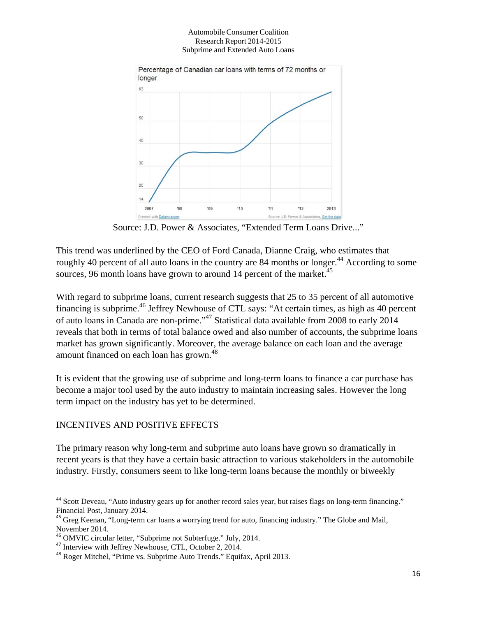

Source: J.D. Power & Associates, "Extended Term Loans Drive..."

This trend was underlined by the CEO of Ford Canada, Dianne Craig, who estimates that roughly 40 percent of all auto loans in the country are 84 months or longer.<sup>44</sup> According to some sources, 96 month loans have grown to around 14 percent of the market. $45$ 

With regard to subprime loans, current research suggests that 25 to 35 percent of all automotive financing is subprime.46 Jeffrey Newhouse of CTL says: "At certain times, as high as 40 percent of auto loans in Canada are non-prime."47 Statistical data available from 2008 to early 2014 reveals that both in terms of total balance owed and also number of accounts, the subprime loans market has grown significantly. Moreover, the average balance on each loan and the average amount financed on each loan has grown.<sup>48</sup>

It is evident that the growing use of subprime and long-term loans to finance a car purchase has become a major tool used by the auto industry to maintain increasing sales. However the long term impact on the industry has yet to be determined.

## INCENTIVES AND POSITIVE EFFECTS

The primary reason why long-term and subprime auto loans have grown so dramatically in recent years is that they have a certain basic attraction to various stakeholders in the automobile industry. Firstly, consumers seem to like long-term loans because the monthly or biweekly

 <sup>44</sup> Scott Deveau, "Auto industry gears up for another record sales year, but raises flags on long-term financing." Financial Post, January 2014.

<sup>&</sup>lt;sup>45</sup> Greg Keenan, "Long-term car loans a worrying trend for auto, financing industry." The Globe and Mail, November 2014.

 $^{46}$  OMVIC circular letter, "Subprime not Subterfuge." July, 2014.<br> $^{47}$  Interview with Jeffrey Newhouse, CTL, October 2, 2014.

 $48$  Roger Mitchel, "Prime vs. Subprime Auto Trends." Equifax, April 2013.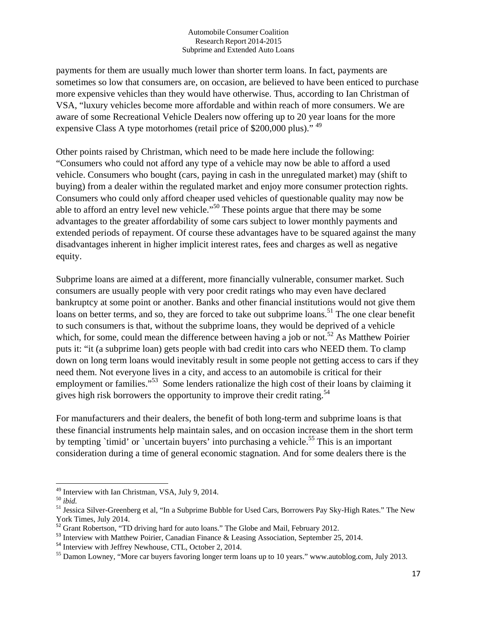payments for them are usually much lower than shorter term loans. In fact, payments are sometimes so low that consumers are, on occasion, are believed to have been enticed to purchase more expensive vehicles than they would have otherwise. Thus, according to Ian Christman of VSA, "luxury vehicles become more affordable and within reach of more consumers. We are aware of some Recreational Vehicle Dealers now offering up to 20 year loans for the more expensive Class A type motorhomes (retail price of \$200,000 plus)."<sup>49</sup>

Other points raised by Christman, which need to be made here include the following: "Consumers who could not afford any type of a vehicle may now be able to afford a used vehicle. Consumers who bought (cars, paying in cash in the unregulated market) may (shift to buying) from a dealer within the regulated market and enjoy more consumer protection rights. Consumers who could only afford cheaper used vehicles of questionable quality may now be able to afford an entry level new vehicle."<sup>50</sup> These points argue that there may be some advantages to the greater affordability of some cars subject to lower monthly payments and extended periods of repayment. Of course these advantages have to be squared against the many disadvantages inherent in higher implicit interest rates, fees and charges as well as negative equity.

Subprime loans are aimed at a different, more financially vulnerable, consumer market. Such consumers are usually people with very poor credit ratings who may even have declared bankruptcy at some point or another. Banks and other financial institutions would not give them loans on better terms, and so, they are forced to take out subprime loans.<sup>51</sup> The one clear benefit to such consumers is that, without the subprime loans, they would be deprived of a vehicle which, for some, could mean the difference between having a job or not.<sup>52</sup> As Matthew Poirier puts it: "it (a subprime loan) gets people with bad credit into cars who NEED them. To clamp down on long term loans would inevitably result in some people not getting access to cars if they need them. Not everyone lives in a city, and access to an automobile is critical for their employment or families."<sup>53</sup> Some lenders rationalize the high cost of their loans by claiming it gives high risk borrowers the opportunity to improve their credit rating.<sup>54</sup>

For manufacturers and their dealers, the benefit of both long-term and subprime loans is that these financial instruments help maintain sales, and on occasion increase them in the short term by tempting `timid' or `uncertain buyers' into purchasing a vehicle.<sup>55</sup> This is an important consideration during a time of general economic stagnation. And for some dealers there is the

<sup>&</sup>lt;sup>49</sup> Interview with Ian Christman, VSA, July 9, 2014.<br><sup>50</sup> *ibid.* 

<sup>&</sup>lt;sup>51</sup> Jessica Silver-Greenberg et al, "In a Subprime Bubble for Used Cars, Borrowers Pay Sky-High Rates." The New York Times, July 2014.

<sup>&</sup>lt;sup>52</sup> Grant Robertson, "TD driving hard for auto loans." The Globe and Mail, February 2012.

 $53$  Interview with Matthew Poirier, Canadian Finance & Leasing Association, September 25, 2014.<br>
<sup>54</sup> Interview with Jeffrey Newhouse, CTL, October 2, 2014.

<sup>&</sup>lt;sup>55</sup> Damon Lowney, "More car buyers favoring longer term loans up to 10 years." www.autoblog.com, July 2013.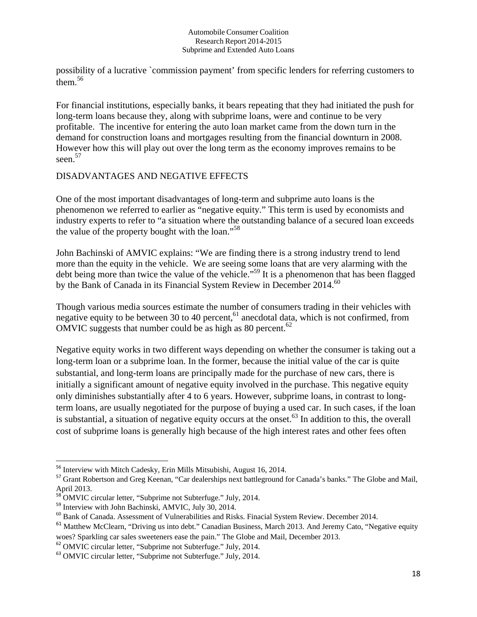possibility of a lucrative `commission payment' from specific lenders for referring customers to them.<sup>56</sup>

For financial institutions, especially banks, it bears repeating that they had initiated the push for long-term loans because they, along with subprime loans, were and continue to be very profitable. The incentive for entering the auto loan market came from the down turn in the demand for construction loans and mortgages resulting from the financial downturn in 2008. However how this will play out over the long term as the economy improves remains to be seen.<sup>57</sup>

## DISADVANTAGES AND NEGATIVE EFFECTS

One of the most important disadvantages of long-term and subprime auto loans is the phenomenon we referred to earlier as "negative equity." This term is used by economists and industry experts to refer to "a situation where the outstanding balance of a secured loan exceeds the value of the property bought with the loan."<sup>58</sup>

John Bachinski of AMVIC explains: "We are finding there is a strong industry trend to lend more than the equity in the vehicle. We are seeing some loans that are very alarming with the debt being more than twice the value of the vehicle."<sup>59</sup> It is a phenomenon that has been flagged by the Bank of Canada in its Financial System Review in December 2014.<sup>60</sup>

Though various media sources estimate the number of consumers trading in their vehicles with negative equity to be between 30 to 40 percent,  $61$  anecdotal data, which is not confirmed, from OMVIC suggests that number could be as high as 80 percent.<sup>62</sup>

Negative equity works in two different ways depending on whether the consumer is taking out a long-term loan or a subprime loan. In the former, because the initial value of the car is quite substantial, and long-term loans are principally made for the purchase of new cars, there is initially a significant amount of negative equity involved in the purchase. This negative equity only diminishes substantially after 4 to 6 years. However, subprime loans, in contrast to longterm loans, are usually negotiated for the purpose of buying a used car. In such cases, if the loan is substantial, a situation of negative equity occurs at the onset.<sup>63</sup> In addition to this, the overall cost of subprime loans is generally high because of the high interest rates and other fees often

<sup>&</sup>lt;sup>56</sup> Interview with Mitch Cadesky, Erin Mills Mitsubishi, August 16, 2014.

<sup>&</sup>lt;sup>57</sup> Grant Robertson and Greg Keenan, "Car dealerships next battleground for Canada's banks." The Globe and Mail, April 2013.

<sup>&</sup>lt;sup>58</sup> OMVIC circular letter, "Subprime not Subterfuge." July, 2014.

 $^{59}$  Interview with John Bachinski, AMVIC, July 30, 2014.<br><sup>60</sup> Bank of Canada. Assessment of Vulnerabilities and Risks. Finacial System Review. December 2014.

<sup>&</sup>lt;sup>61</sup> Matthew McClearn, "Driving us into debt." Canadian Business, March 2013. And Jeremy Cato, "Negative equity woes? Sparkling car sales sweeteners ease the pain." The Globe and Mail, December 2013.

<sup>62</sup> OMVIC circular letter, "Subprime not Subterfuge." July, 2014.

<sup>63</sup> OMVIC circular letter, "Subprime not Subterfuge." July, 2014.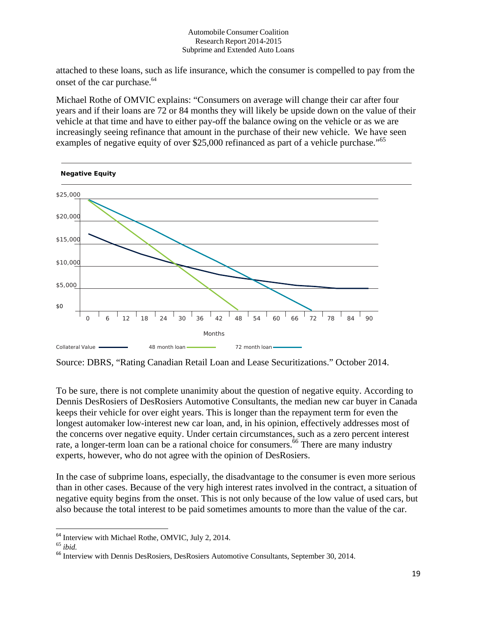attached to these loans, such as life insurance, which the consumer is compelled to pay from the onset of the car purchase. 64

Michael Rothe of OMVIC explains: "Consumers on average will change their car after four years and if their loans are 72 or 84 months they will likely be upside down on the value of their vehicle at that time and have to either pay-off the balance owing on the vehicle or as we are increasingly seeing refinance that amount in the purchase of their new vehicle. We have seen examples of negative equity of over \$25,000 refinanced as part of a vehicle purchase."<sup>65</sup>



Source: DBRS, "Rating Canadian Retail Loan and Lease Securitizations." October 2014.

To be sure, there is not complete unanimity about the question of negative equity. According to Dennis DesRosiers of DesRosiers Automotive Consultants, the median new car buyer in Canada keeps their vehicle for over eight years. This is longer than the repayment term for even the longest automaker low-interest new car loan, and, in his opinion, effectively addresses most of the concerns over negative equity. Under certain circumstances, such as a zero percent interest rate, a longer-term loan can be a rational choice for consumers.<sup>66</sup> There are many industry experts, however, who do not agree with the opinion of DesRosiers.

In the case of subprime loans, especially, the disadvantage to the consumer is even more serious than in other cases. Because of the very high interest rates involved in the contract, a situation of negative equity begins from the onset. This is not only because of the low value of used cars, but also because the total interest to be paid sometimes amounts to more than the value of the car.

 <sup>64</sup> Interview with Michael Rothe, OMVIC, July 2, 2014. 65 *ibid.* 

<sup>&</sup>lt;sup>66</sup> Interview with Dennis DesRosiers, DesRosiers Automotive Consultants, September 30, 2014.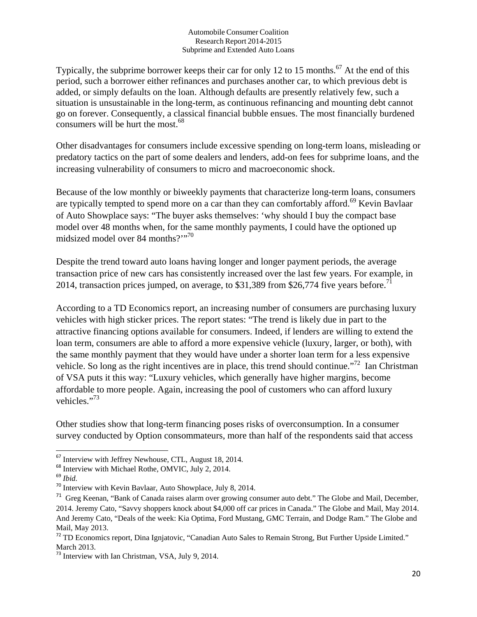Typically, the subprime borrower keeps their car for only 12 to 15 months.<sup>67</sup> At the end of this period, such a borrower either refinances and purchases another car, to which previous debt is added, or simply defaults on the loan. Although defaults are presently relatively few, such a situation is unsustainable in the long-term, as continuous refinancing and mounting debt cannot go on forever. Consequently, a classical financial bubble ensues. The most financially burdened consumers will be hurt the most.<sup>68</sup>

Other disadvantages for consumers include excessive spending on long-term loans, misleading or predatory tactics on the part of some dealers and lenders, add-on fees for subprime loans, and the increasing vulnerability of consumers to micro and macroeconomic shock.

Because of the low monthly or biweekly payments that characterize long-term loans, consumers are typically tempted to spend more on a car than they can comfortably afford.<sup>69</sup> Kevin Bavlaar of Auto Showplace says: "The buyer asks themselves: 'why should I buy the compact base model over 48 months when, for the same monthly payments, I could have the optioned up midsized model over 84 months?"<sup>70</sup>

Despite the trend toward auto loans having longer and longer payment periods, the average transaction price of new cars has consistently increased over the last few years. For example, in 2014, transaction prices jumped, on average, to \$31,389 from \$26,774 five years before.<sup>71</sup>

According to a TD Economics report, an increasing number of consumers are purchasing luxury vehicles with high sticker prices. The report states: "The trend is likely due in part to the attractive financing options available for consumers. Indeed, if lenders are willing to extend the loan term, consumers are able to afford a more expensive vehicle (luxury, larger, or both), with the same monthly payment that they would have under a shorter loan term for a less expensive vehicle. So long as the right incentives are in place, this trend should continue."<sup>72</sup> Ian Christman of VSA puts it this way: "Luxury vehicles, which generally have higher margins, become affordable to more people. Again, increasing the pool of customers who can afford luxury vehicles."<sup>73</sup>

Other studies show that long-term financing poses risks of overconsumption. In a consumer survey conducted by Option consommateurs, more than half of the respondents said that access

 $67$  Interview with Jeffrey Newhouse, CTL, August 18, 2014.

 $68$  Interview with Michael Rothe, OMVIC, July 2, 2014.

<sup>69</sup> *Ibid.*

<sup>&</sup>lt;sup>70</sup> Interview with Kevin Bavlaar, Auto Showplace, July 8, 2014.

<sup>71</sup> Greg Keenan, "Bank of Canada raises alarm over growing consumer auto debt." The Globe and Mail, December, 2014. Jeremy Cato, "Savvy shoppers knock about \$4,000 off car prices in Canada." The Globe and Mail, May 2014. And Jeremy Cato, "Deals of the week: Kia Optima, Ford Mustang, GMC Terrain, and Dodge Ram." The Globe and Mail, May 2013.

<sup>&</sup>lt;sup>72</sup> TD Economics report, Dina Ignjatovic, "Canadian Auto Sales to Remain Strong, But Further Upside Limited." March 2013.

 $73$  Interview with Ian Christman, VSA, July 9, 2014.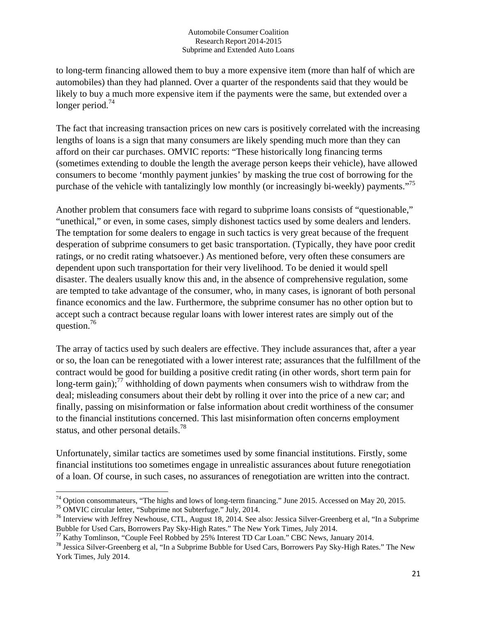to long-term financing allowed them to buy a more expensive item (more than half of which are automobiles) than they had planned. Over a quarter of the respondents said that they would be likely to buy a much more expensive item if the payments were the same, but extended over a longer period. $74$ 

The fact that increasing transaction prices on new cars is positively correlated with the increasing lengths of loans is a sign that many consumers are likely spending much more than they can afford on their car purchases. OMVIC reports: "These historically long financing terms (sometimes extending to double the length the average person keeps their vehicle), have allowed consumers to become 'monthly payment junkies' by masking the true cost of borrowing for the purchase of the vehicle with tantalizingly low monthly (or increasingly bi-weekly) payments."75

Another problem that consumers face with regard to subprime loans consists of "questionable," "unethical," or even, in some cases, simply dishonest tactics used by some dealers and lenders. The temptation for some dealers to engage in such tactics is very great because of the frequent desperation of subprime consumers to get basic transportation. (Typically, they have poor credit ratings, or no credit rating whatsoever.) As mentioned before, very often these consumers are dependent upon such transportation for their very livelihood. To be denied it would spell disaster. The dealers usually know this and, in the absence of comprehensive regulation, some are tempted to take advantage of the consumer, who, in many cases, is ignorant of both personal finance economics and the law. Furthermore, the subprime consumer has no other option but to accept such a contract because regular loans with lower interest rates are simply out of the question.<sup>76</sup>

The array of tactics used by such dealers are effective. They include assurances that, after a year or so, the loan can be renegotiated with a lower interest rate; assurances that the fulfillment of the contract would be good for building a positive credit rating (in other words, short term pain for long-term gain);<sup>77</sup> withholding of down payments when consumers wish to withdraw from the deal; misleading consumers about their debt by rolling it over into the price of a new car; and finally, passing on misinformation or false information about credit worthiness of the consumer to the financial institutions concerned. This last misinformation often concerns employment status, and other personal details.<sup>78</sup>

Unfortunately, similar tactics are sometimes used by some financial institutions. Firstly, some financial institutions too sometimes engage in unrealistic assurances about future renegotiation of a loan. Of course, in such cases, no assurances of renegotiation are written into the contract.

<sup>74</sup> Option consommateurs, "The highs and lows of long-term financing." June 2015. Accessed on May 20, 2015.

<sup>75</sup> OMVIC circular letter, "Subprime not Subterfuge." July, 2014.

<sup>76</sup> Interview with Jeffrey Newhouse, CTL, August 18, 2014. See also: Jessica Silver-Greenberg et al, "In a Subprime

Bubble for Used Cars, Borrowers Pay Sky-High Rates." The New York Times, July 2014.<br><sup>77</sup> Kathy Tomlinson, "Couple Feel Robbed by 25% Interest TD Car Loan." CBC News, January 2014.

<sup>&</sup>lt;sup>78</sup> Jessica Silver-Greenberg et al, "In a Subprime Bubble for Used Cars, Borrowers Pay Sky-High Rates." The New York Times, July 2014.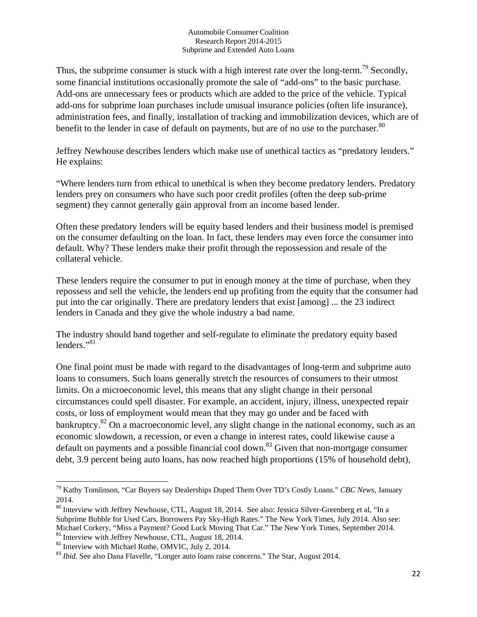Thus, the subprime consumer is stuck with a high interest rate over the long-term.<sup>79</sup> Secondly, some financial institutions occasionally promote the sale of "add-ons" to the basic purchase. Add-ons are unnecessary fees or products which are added to the price of the vehicle. Typical add-ons for subprime loan purchases include unusual insurance policies (often life insurance), administration fees, and finally, installation of tracking and immobilization devices, which are of benefit to the lender in case of default on payments, but are of no use to the purchaser.<sup>80</sup>

Jeffrey Newhouse describes lenders which make use of unethical tactics as "predatory lenders." He explains:

"Where lenders turn from ethical to unethical is when they become predatory lenders. Predatory lenders prey on consumers who have such poor credit profiles (often the deep sub-prime segment) they cannot generally gain approval from an income based lender.

Often these predatory lenders will be equity based lenders and their business model is premised on the consumer defaulting on the loan. In fact, these lenders may even force the consumer into default. Why? These lenders make their profit through the repossession and resale of the collateral vehicle.

These lenders require the consumer to put in enough money at the time of purchase, when they repossess and sell the vehicle, the lenders end up profiting from the equity that the consumer had put into the car originally. There are predatory lenders that exist [among] ... the 23 indirect lenders in Canada and they give the whole industry a bad name.

The industry should band together and self-regulate to eliminate the predatory equity based lenders."<sup>81</sup>

One final point must be made with regard to the disadvantages of long-term and subprime auto loans to consumers. Such loans generally stretch the resources of consumers to their utmost limits. On a microeconomic level, this means that any slight change in their personal circumstances could spell disaster. For example, an accident, injury, illness, unexpected repair costs, or loss of employment would mean that they may go under and be faced with bankruptcy.<sup>82</sup> On a macroeconomic level, any slight change in the national economy, such as an economic slowdown, a recession, or even a change in interest rates, could likewise cause a default on payments and a possible financial cool down.<sup>83</sup> Given that non-mortgage consumer debt, 3.9 percent being auto loans, has now reached high proportions (15% of household debt),

 79 Kathy Tomlinson, "Car Buyers say Dealerships Duped Them Over TD's Costly Loans." *CBC News*, January 2014.

<sup>80</sup> Interview with Jeffrey Newhouse, CTL, August 18, 2014. See also: Jessica Silver-Greenberg et al, "In a Subprime Bubble for Used Cars, Borrowers Pay Sky-High Rates." The New York Times, July 2014. Also see: Michael Corkery, "Miss a Payment? Good Luck Moving That Car." The New York Times, September 2014. <sup>81</sup> Interview with Jeffrey Newhouse, CTL, August 18, 2014.

<sup>&</sup>lt;sup>82</sup> Interview with Michael Rothe, OMVIC, July 2, 2014.

<sup>&</sup>lt;sup>83</sup> *Ibid.* See also Dana Flavelle, "Longer auto loans raise concerns." The Star, August 2014.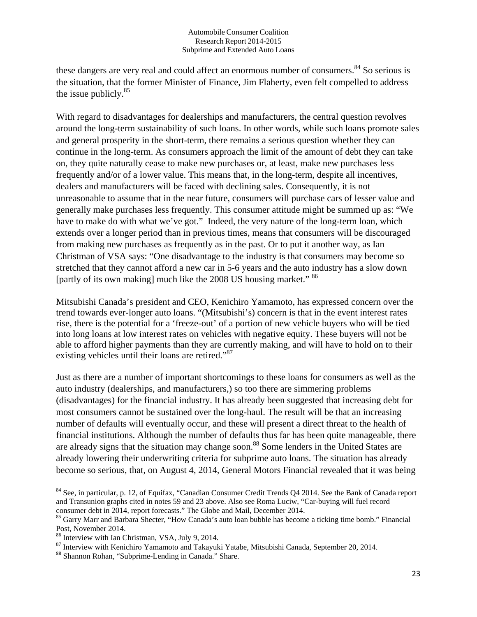these dangers are very real and could affect an enormous number of consumers.<sup>84</sup> So serious is the situation, that the former Minister of Finance, Jim Flaherty, even felt compelled to address the issue publicly.<sup>85</sup>

With regard to disadvantages for dealerships and manufacturers, the central question revolves around the long-term sustainability of such loans. In other words, while such loans promote sales and general prosperity in the short-term, there remains a serious question whether they can continue in the long-term. As consumers approach the limit of the amount of debt they can take on, they quite naturally cease to make new purchases or, at least, make new purchases less frequently and/or of a lower value. This means that, in the long-term, despite all incentives, dealers and manufacturers will be faced with declining sales. Consequently, it is not unreasonable to assume that in the near future, consumers will purchase cars of lesser value and generally make purchases less frequently. This consumer attitude might be summed up as: "We have to make do with what we've got." Indeed, the very nature of the long-term loan, which extends over a longer period than in previous times, means that consumers will be discouraged from making new purchases as frequently as in the past. Or to put it another way, as Ian Christman of VSA says: "One disadvantage to the industry is that consumers may become so stretched that they cannot afford a new car in 5-6 years and the auto industry has a slow down [partly of its own making] much like the 2008 US housing market." <sup>86</sup>

Mitsubishi Canada's president and CEO, Kenichiro Yamamoto, has expressed concern over the trend towards ever-longer auto loans. "(Mitsubishi's) concern is that in the event interest rates rise, there is the potential for a 'freeze-out' of a portion of new vehicle buyers who will be tied into long loans at low interest rates on vehicles with negative equity. These buyers will not be able to afford higher payments than they are currently making, and will have to hold on to their existing vehicles until their loans are retired."<sup>87</sup>

Just as there are a number of important shortcomings to these loans for consumers as well as the auto industry (dealerships, and manufacturers,) so too there are simmering problems (disadvantages) for the financial industry. It has already been suggested that increasing debt for most consumers cannot be sustained over the long-haul. The result will be that an increasing number of defaults will eventually occur, and these will present a direct threat to the health of financial institutions. Although the number of defaults thus far has been quite manageable, there are already signs that the situation may change soon.<sup>88</sup> Some lenders in the United States are already lowering their underwriting criteria for subprime auto loans. The situation has already become so serious, that, on August 4, 2014, General Motors Financial revealed that it was being

<sup>&</sup>lt;sup>84</sup> See, in particular, p. 12, of Equifax, "Canadian Consumer Credit Trends Q4 2014. See the Bank of Canada report and Transunion graphs cited in notes 59 and 23 above. Also see Roma Luciw, "Car-buying will fuel record consumer debt in 2014, report forecasts." The Globe and Mail, December 2014.

<sup>&</sup>lt;sup>85</sup> Garry Marr and Barbara Shecter, "How Canada's auto loan bubble has become a ticking time bomb." Financial Post, November 2014.<br><sup>86</sup> Interview with Ian Christman, VSA, July 9, 2014.

 $87$  Interview with Kenichiro Yamamoto and Takayuki Yatabe, Mitsubishi Canada, September 20, 2014.

<sup>88</sup> Shannon Rohan, "Subprime-Lending in Canada." Share.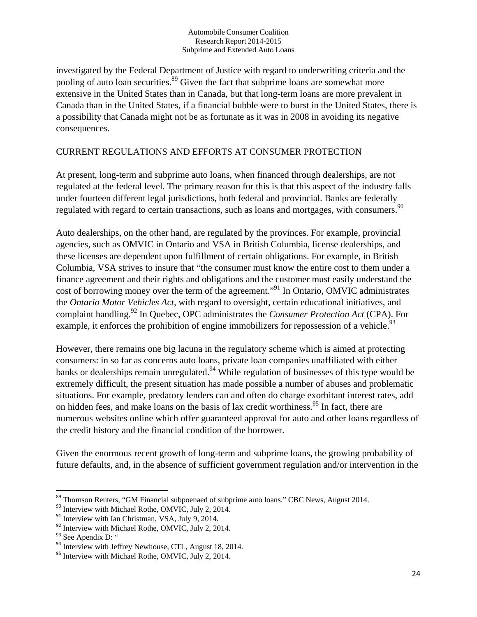investigated by the Federal Department of Justice with regard to underwriting criteria and the pooling of auto loan securities. $89$  Given the fact that subprime loans are somewhat more extensive in the United States than in Canada, but that long-term loans are more prevalent in Canada than in the United States, if a financial bubble were to burst in the United States, there is a possibility that Canada might not be as fortunate as it was in 2008 in avoiding its negative consequences.

## CURRENT REGULATIONS AND EFFORTS AT CONSUMER PROTECTION

At present, long-term and subprime auto loans, when financed through dealerships, are not regulated at the federal level. The primary reason for this is that this aspect of the industry falls under fourteen different legal jurisdictions, both federal and provincial. Banks are federally regulated with regard to certain transactions, such as loans and mortgages, with consumers.<sup>90</sup>

Auto dealerships, on the other hand, are regulated by the provinces. For example, provincial agencies, such as OMVIC in Ontario and VSA in British Columbia, license dealerships, and these licenses are dependent upon fulfillment of certain obligations. For example, in British Columbia, VSA strives to insure that "the consumer must know the entire cost to them under a finance agreement and their rights and obligations and the customer must easily understand the cost of borrowing money over the term of the agreement."<sup>91</sup> In Ontario, OMVIC administrates the *Ontario Motor Vehicles Act*, with regard to oversight, certain educational initiatives, and complaint handling.92 In Quebec, OPC administrates the *Consumer Protection Act* (CPA). For example, it enforces the prohibition of engine immobilizers for repossession of a vehicle.<sup>93</sup>

However, there remains one big lacuna in the regulatory scheme which is aimed at protecting consumers: in so far as concerns auto loans, private loan companies unaffiliated with either banks or dealerships remain unregulated.<sup>94</sup> While regulation of businesses of this type would be extremely difficult, the present situation has made possible a number of abuses and problematic situations. For example, predatory lenders can and often do charge exorbitant interest rates, add on hidden fees, and make loans on the basis of lax credit worthiness.<sup>95</sup> In fact, there are numerous websites online which offer guaranteed approval for auto and other loans regardless of the credit history and the financial condition of the borrower.

Given the enormous recent growth of long-term and subprime loans, the growing probability of future defaults, and, in the absence of sufficient government regulation and/or intervention in the

  $89$  Thomson Reuters, "GM Financial subpoenaed of subprime auto loans." CBC News, August 2014.<br><sup>90</sup> Interview with Michael Rothe, OMVIC, July 2, 2014.

<sup>&</sup>lt;sup>90</sup> Interview with Michael Rothe, OMVIC, July 2, 2014.<br><sup>91</sup> Interview with Ian Christman, VSA, July 9, 2014.

<sup>&</sup>lt;sup>92</sup> Interview with Michael Rothe, OMVIC, July 2, 2014.

<sup>&</sup>lt;sup>93</sup> See Apendix D: "

 $^{94}$  Interview with Jeffrey Newhouse, CTL, August 18, 2014.

<sup>&</sup>lt;sup>95</sup> Interview with Michael Rothe, OMVIC, July 2, 2014.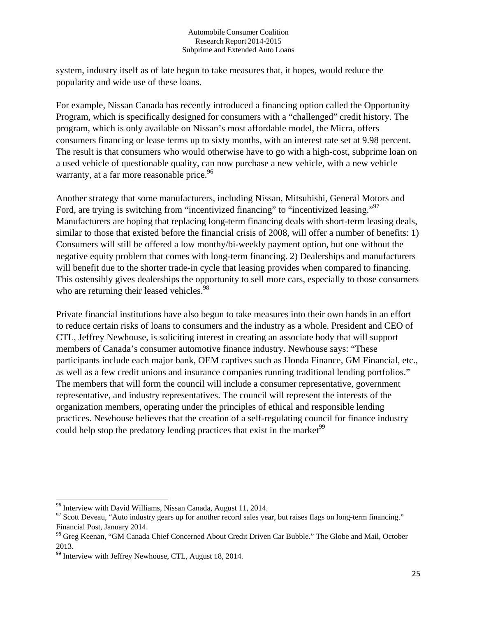system, industry itself as of late begun to take measures that, it hopes, would reduce the popularity and wide use of these loans.

For example, Nissan Canada has recently introduced a financing option called the Opportunity Program, which is specifically designed for consumers with a "challenged" credit history. The program, which is only available on Nissan's most affordable model, the Micra, offers consumers financing or lease terms up to sixty months, with an interest rate set at 9.98 percent. The result is that consumers who would otherwise have to go with a high-cost, subprime loan on a used vehicle of questionable quality, can now purchase a new vehicle, with a new vehicle warranty, at a far more reasonable price.<sup>96</sup>

Another strategy that some manufacturers, including Nissan, Mitsubishi, General Motors and Ford, are trying is switching from "incentivized financing" to "incentivized leasing."<sup>97</sup> Manufacturers are hoping that replacing long-term financing deals with short-term leasing deals, similar to those that existed before the financial crisis of 2008, will offer a number of benefits: 1) Consumers will still be offered a low monthy/bi-weekly payment option, but one without the negative equity problem that comes with long-term financing. 2) Dealerships and manufacturers will benefit due to the shorter trade-in cycle that leasing provides when compared to financing. This ostensibly gives dealerships the opportunity to sell more cars, especially to those consumers who are returning their leased vehicles.<sup>98</sup>

Private financial institutions have also begun to take measures into their own hands in an effort to reduce certain risks of loans to consumers and the industry as a whole. President and CEO of CTL, Jeffrey Newhouse, is soliciting interest in creating an associate body that will support members of Canada's consumer automotive finance industry. Newhouse says: "These participants include each major bank, OEM captives such as Honda Finance, GM Financial, etc., as well as a few credit unions and insurance companies running traditional lending portfolios." The members that will form the council will include a consumer representative, government representative, and industry representatives. The council will represent the interests of the organization members, operating under the principles of ethical and responsible lending practices. Newhouse believes that the creation of a self-regulating council for finance industry could help stop the predatory lending practices that exist in the market  $99$ 

<sup>&</sup>lt;sup>96</sup> Interview with David Williams, Nissan Canada, August 11, 2014.

 $97$  Scott Deveau, "Auto industry gears up for another record sales year, but raises flags on long-term financing." Financial Post, January 2014.

<sup>98</sup> Greg Keenan, "GM Canada Chief Concerned About Credit Driven Car Bubble." The Globe and Mail, October 2013.

 $99$  Interview with Jeffrey Newhouse, CTL, August 18, 2014.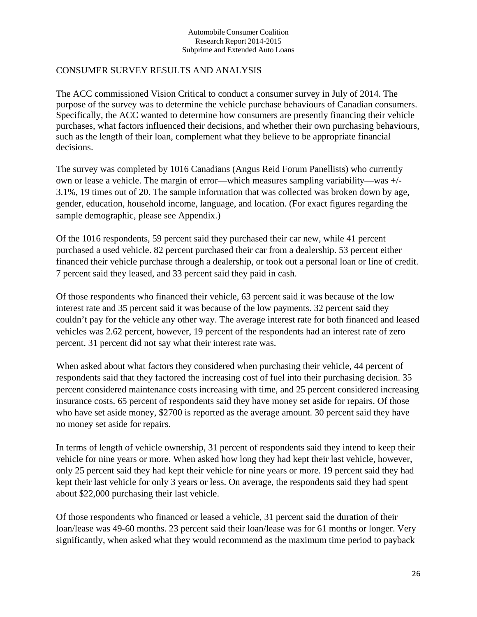### CONSUMER SURVEY RESULTS AND ANALYSIS

The ACC commissioned Vision Critical to conduct a consumer survey in July of 2014. The purpose of the survey was to determine the vehicle purchase behaviours of Canadian consumers. Specifically, the ACC wanted to determine how consumers are presently financing their vehicle purchases, what factors influenced their decisions, and whether their own purchasing behaviours, such as the length of their loan, complement what they believe to be appropriate financial decisions.

The survey was completed by 1016 Canadians (Angus Reid Forum Panellists) who currently own or lease a vehicle. The margin of error—which measures sampling variability—was +/- 3.1%, 19 times out of 20. The sample information that was collected was broken down by age, gender, education, household income, language, and location. (For exact figures regarding the sample demographic, please see Appendix.)

Of the 1016 respondents, 59 percent said they purchased their car new, while 41 percent purchased a used vehicle. 82 percent purchased their car from a dealership. 53 percent either financed their vehicle purchase through a dealership, or took out a personal loan or line of credit. 7 percent said they leased, and 33 percent said they paid in cash.

Of those respondents who financed their vehicle, 63 percent said it was because of the low interest rate and 35 percent said it was because of the low payments. 32 percent said they couldn't pay for the vehicle any other way. The average interest rate for both financed and leased vehicles was 2.62 percent, however, 19 percent of the respondents had an interest rate of zero percent. 31 percent did not say what their interest rate was.

When asked about what factors they considered when purchasing their vehicle, 44 percent of respondents said that they factored the increasing cost of fuel into their purchasing decision. 35 percent considered maintenance costs increasing with time, and 25 percent considered increasing insurance costs. 65 percent of respondents said they have money set aside for repairs. Of those who have set aside money, \$2700 is reported as the average amount. 30 percent said they have no money set aside for repairs.

In terms of length of vehicle ownership, 31 percent of respondents said they intend to keep their vehicle for nine years or more. When asked how long they had kept their last vehicle, however, only 25 percent said they had kept their vehicle for nine years or more. 19 percent said they had kept their last vehicle for only 3 years or less. On average, the respondents said they had spent about \$22,000 purchasing their last vehicle.

Of those respondents who financed or leased a vehicle, 31 percent said the duration of their loan/lease was 49-60 months. 23 percent said their loan/lease was for 61 months or longer. Very significantly, when asked what they would recommend as the maximum time period to payback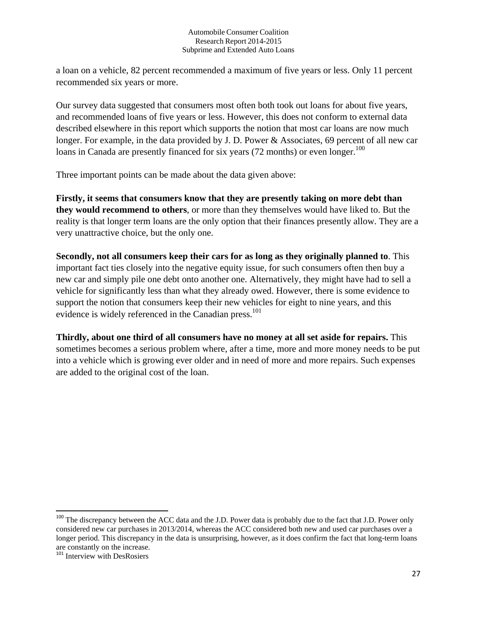a loan on a vehicle, 82 percent recommended a maximum of five years or less. Only 11 percent recommended six years or more.

Our survey data suggested that consumers most often both took out loans for about five years, and recommended loans of five years or less. However, this does not conform to external data described elsewhere in this report which supports the notion that most car loans are now much longer. For example, in the data provided by J. D. Power & Associates, 69 percent of all new car loans in Canada are presently financed for six years (72 months) or even longer.<sup>100</sup>

Three important points can be made about the data given above:

**Firstly, it seems that consumers know that they are presently taking on more debt than they would recommend to others**, or more than they themselves would have liked to. But the reality is that longer term loans are the only option that their finances presently allow. They are a very unattractive choice, but the only one.

**Secondly, not all consumers keep their cars for as long as they originally planned to**. This important fact ties closely into the negative equity issue, for such consumers often then buy a new car and simply pile one debt onto another one. Alternatively, they might have had to sell a vehicle for significantly less than what they already owed. However, there is some evidence to support the notion that consumers keep their new vehicles for eight to nine years, and this evidence is widely referenced in the Canadian press.<sup>101</sup>

**Thirdly, about one third of all consumers have no money at all set aside for repairs.** This sometimes becomes a serious problem where, after a time, more and more money needs to be put into a vehicle which is growing ever older and in need of more and more repairs. Such expenses are added to the original cost of the loan.

<sup>&</sup>lt;sup>100</sup> The discrepancy between the ACC data and the J.D. Power data is probably due to the fact that J.D. Power only considered new car purchases in 2013/2014, whereas the ACC considered both new and used car purchases over a longer period. This discrepancy in the data is unsurprising, however, as it does confirm the fact that long-term loans are constantly on the increase.

<sup>&</sup>lt;sup>101</sup> Interview with DesRosiers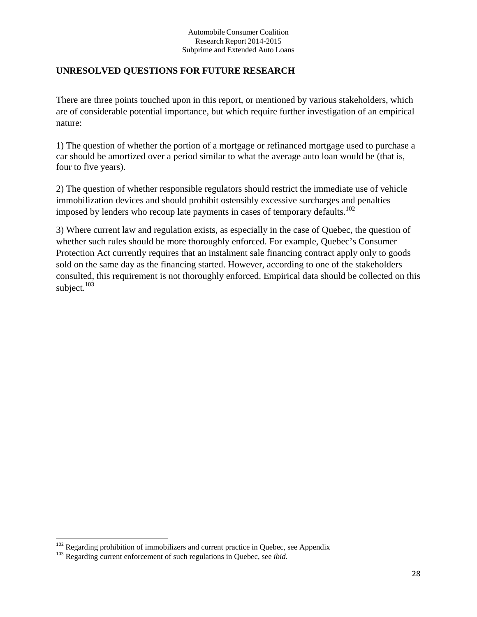## **UNRESOLVED QUESTIONS FOR FUTURE RESEARCH**

There are three points touched upon in this report, or mentioned by various stakeholders, which are of considerable potential importance, but which require further investigation of an empirical nature:

1) The question of whether the portion of a mortgage or refinanced mortgage used to purchase a car should be amortized over a period similar to what the average auto loan would be (that is, four to five years).

2) The question of whether responsible regulators should restrict the immediate use of vehicle immobilization devices and should prohibit ostensibly excessive surcharges and penalties imposed by lenders who recoup late payments in cases of temporary defaults.<sup>102</sup>

3) Where current law and regulation exists, as especially in the case of Quebec, the question of whether such rules should be more thoroughly enforced. For example, Quebec's Consumer Protection Act currently requires that an instalment sale financing contract apply only to goods sold on the same day as the financing started. However, according to one of the stakeholders consulted, this requirement is not thoroughly enforced. Empirical data should be collected on this subject.<sup>103</sup>

<sup>&</sup>lt;sup>102</sup> Regarding prohibition of immobilizers and current practice in Quebec, see Appendix 103 Regarding current enforcement of such regulations in Quebec, see *ibid*.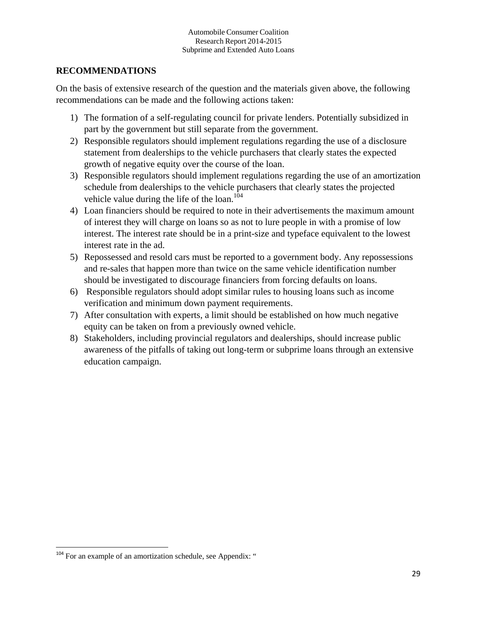## **RECOMMENDATIONS**

On the basis of extensive research of the question and the materials given above, the following recommendations can be made and the following actions taken:

- 1) The formation of a self-regulating council for private lenders. Potentially subsidized in part by the government but still separate from the government.
- 2) Responsible regulators should implement regulations regarding the use of a disclosure statement from dealerships to the vehicle purchasers that clearly states the expected growth of negative equity over the course of the loan.
- 3) Responsible regulators should implement regulations regarding the use of an amortization schedule from dealerships to the vehicle purchasers that clearly states the projected vehicle value during the life of the loan.<sup>104</sup>
- 4) Loan financiers should be required to note in their advertisements the maximum amount of interest they will charge on loans so as not to lure people in with a promise of low interest. The interest rate should be in a print-size and typeface equivalent to the lowest interest rate in the ad.
- 5) Repossessed and resold cars must be reported to a government body. Any repossessions and re-sales that happen more than twice on the same vehicle identification number should be investigated to discourage financiers from forcing defaults on loans.
- 6) Responsible regulators should adopt similar rules to housing loans such as income verification and minimum down payment requirements.
- 7) After consultation with experts, a limit should be established on how much negative equity can be taken on from a previously owned vehicle.
- 8) Stakeholders, including provincial regulators and dealerships, should increase public awareness of the pitfalls of taking out long-term or subprime loans through an extensive education campaign.

<sup>&</sup>lt;sup>104</sup> For an example of an amortization schedule, see Appendix: "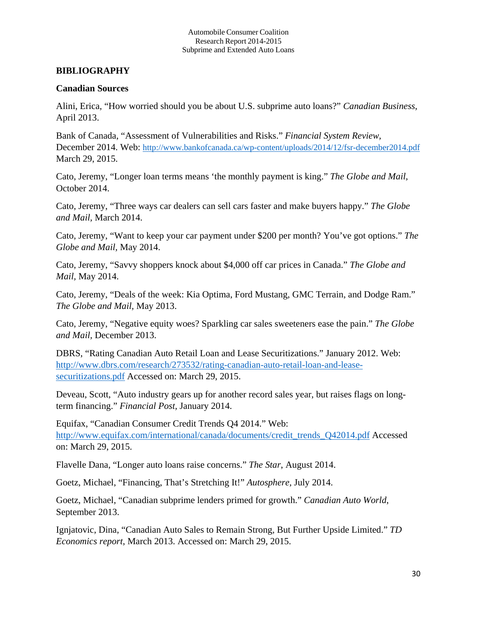## **BIBLIOGRAPHY**

### **Canadian Sources**

Alini, Erica, "How worried should you be about U.S. subprime auto loans?" *Canadian Business*, April 2013.

Bank of Canada, "Assessment of Vulnerabilities and Risks." *Financial System Review,* December 2014. Web: http://www.bankofcanada.ca/wp-content/uploads/2014/12/fsr-december2014.pdf March 29, 2015.

Cato, Jeremy, "Longer loan terms means 'the monthly payment is king." *The Globe and Mail,*  October 2014.

Cato, Jeremy, "Three ways car dealers can sell cars faster and make buyers happy." *The Globe and Mail,* March 2014.

Cato, Jeremy, "Want to keep your car payment under \$200 per month? You've got options." *The Globe and Mail,* May 2014.

Cato, Jeremy, "Savvy shoppers knock about \$4,000 off car prices in Canada." *The Globe and Mail,* May 2014.

Cato, Jeremy, "Deals of the week: Kia Optima, Ford Mustang, GMC Terrain, and Dodge Ram." *The Globe and Mail,* May 2013.

Cato, Jeremy, "Negative equity woes? Sparkling car sales sweeteners ease the pain." *The Globe and Mail,* December 2013.

DBRS, "Rating Canadian Auto Retail Loan and Lease Securitizations." January 2012. Web: http://www.dbrs.com/research/273532/rating-canadian-auto-retail-loan-and-leasesecuritizations.pdf Accessed on: March 29, 2015.

Deveau, Scott, "Auto industry gears up for another record sales year, but raises flags on longterm financing." *Financial Post,* January 2014.

Equifax, "Canadian Consumer Credit Trends Q4 2014." Web: http://www.equifax.com/international/canada/documents/credit\_trends\_Q42014.pdf Accessed on: March 29, 2015.

Flavelle Dana, "Longer auto loans raise concerns." *The Star*, August 2014.

Goetz, Michael, "Financing, That's Stretching It!" *Autosphere,* July 2014.

Goetz, Michael, "Canadian subprime lenders primed for growth." *Canadian Auto World*, September 2013.

Ignjatovic, Dina, "Canadian Auto Sales to Remain Strong, But Further Upside Limited." *TD Economics report*, March 2013. Accessed on: March 29, 2015.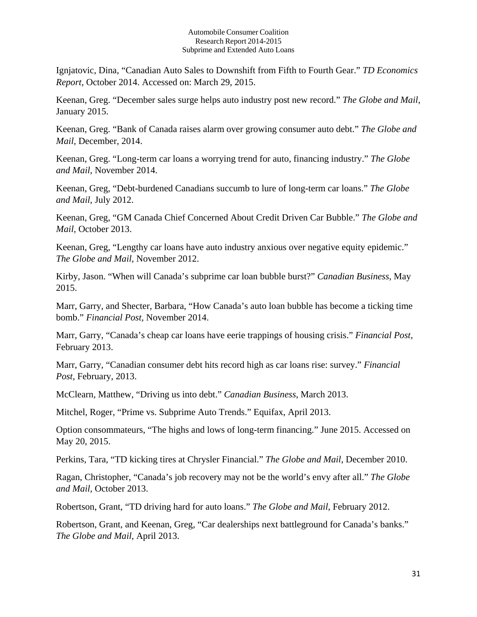Ignjatovic, Dina, "Canadian Auto Sales to Downshift from Fifth to Fourth Gear." *TD Economics Report*, October 2014. Accessed on: March 29, 2015.

Keenan, Greg. "December sales surge helps auto industry post new record." *The Globe and Mail*, January 2015.

Keenan, Greg. "Bank of Canada raises alarm over growing consumer auto debt." *The Globe and Mail*, December, 2014.

Keenan, Greg. "Long-term car loans a worrying trend for auto, financing industry." *The Globe and Mail*, November 2014.

Keenan, Greg, "Debt-burdened Canadians succumb to lure of long-term car loans." *The Globe and Mail*, July 2012.

Keenan, Greg, "GM Canada Chief Concerned About Credit Driven Car Bubble." *The Globe and Mail*, October 2013.

Keenan, Greg, "Lengthy car loans have auto industry anxious over negative equity epidemic." *The Globe and Mail*, November 2012.

Kirby, Jason. "When will Canada's subprime car loan bubble burst?" *Canadian Business*, May 2015.

Marr, Garry, and Shecter, Barbara, "How Canada's auto loan bubble has become a ticking time bomb." *Financial Post,* November 2014.

Marr, Garry, "Canada's cheap car loans have eerie trappings of housing crisis." *Financial Post*, February 2013.

Marr, Garry, "Canadian consumer debt hits record high as car loans rise: survey." *Financial Post*, February, 2013.

McClearn, Matthew, "Driving us into debt." *Canadian Business*, March 2013.

Mitchel, Roger, "Prime vs. Subprime Auto Trends." Equifax, April 2013.

Option consommateurs, "The highs and lows of long-term financing." June 2015. Accessed on May 20, 2015.

Perkins, Tara, "TD kicking tires at Chrysler Financial." *The Globe and Mail*, December 2010.

Ragan, Christopher, "Canada's job recovery may not be the world's envy after all." *The Globe and Mail,* October 2013.

Robertson, Grant, "TD driving hard for auto loans." *The Globe and Mail*, February 2012.

Robertson, Grant, and Keenan, Greg, "Car dealerships next battleground for Canada's banks." *The Globe and Mail*, April 2013.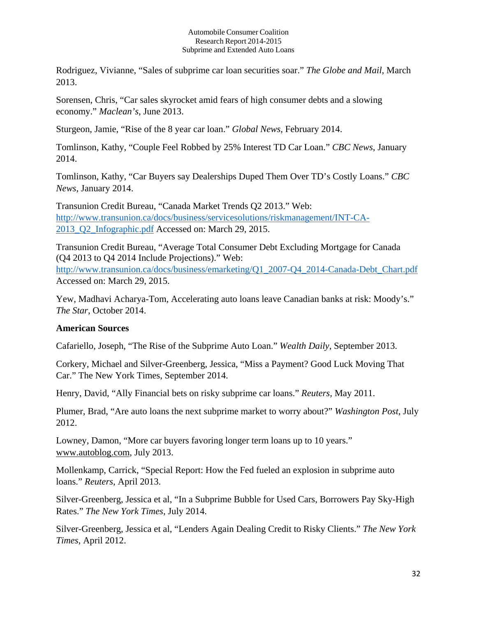Rodriguez, Vivianne, "Sales of subprime car loan securities soar." *The Globe and Mail*, March 2013.

Sorensen, Chris, "Car sales skyrocket amid fears of high consumer debts and a slowing economy." *Maclean's*, June 2013.

Sturgeon, Jamie, "Rise of the 8 year car loan." *Global News*, February 2014.

Tomlinson, Kathy, "Couple Feel Robbed by 25% Interest TD Car Loan." *CBC News*, January 2014.

Tomlinson, Kathy, "Car Buyers say Dealerships Duped Them Over TD's Costly Loans." *CBC News*, January 2014.

Transunion Credit Bureau, "Canada Market Trends Q2 2013." Web: http://www.transunion.ca/docs/business/servicesolutions/riskmanagement/INT-CA-2013\_Q2\_Infographic.pdf Accessed on: March 29, 2015.

Transunion Credit Bureau, "Average Total Consumer Debt Excluding Mortgage for Canada (Q4 2013 to Q4 2014 Include Projections)." Web: http://www.transunion.ca/docs/business/emarketing/Q1\_2007-Q4\_2014-Canada-Debt\_Chart.pdf Accessed on: March 29, 2015.

Yew, Madhavi Acharya-Tom, Accelerating auto loans leave Canadian banks at risk: Moody's." *The Star*, October 2014.

## **American Sources**

Cafariello, Joseph, "The Rise of the Subprime Auto Loan." *Wealth Daily*, September 2013.

Corkery, Michael and Silver-Greenberg, Jessica, "Miss a Payment? Good Luck Moving That Car." The New York Times, September 2014.

Henry, David, "Ally Financial bets on risky subprime car loans." *Reuters,* May 2011.

Plumer, Brad, "Are auto loans the next subprime market to worry about?" *Washington Post*, July 2012.

Lowney, Damon, "More car buyers favoring longer term loans up to 10 years." www.autoblog.com, July 2013.

Mollenkamp, Carrick, "Special Report: How the Fed fueled an explosion in subprime auto loans." *Reuters*, April 2013.

Silver-Greenberg, Jessica et al, "In a Subprime Bubble for Used Cars, Borrowers Pay Sky-High Rates." *The New York Times*, July 2014.

Silver-Greenberg, Jessica et al, "Lenders Again Dealing Credit to Risky Clients." *The New York Times*, April 2012.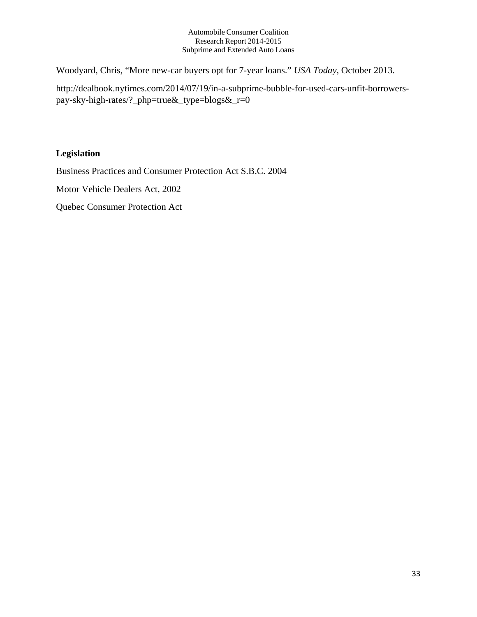Woodyard, Chris, "More new-car buyers opt for 7-year loans." *USA Today*, October 2013.

http://dealbook.nytimes.com/2014/07/19/in-a-subprime-bubble-for-used-cars-unfit-borrowerspay-sky-high-rates/?\_php=true&\_type=blogs&\_r=0

## **Legislation**

Business Practices and Consumer Protection Act S.B.C. 2004

Motor Vehicle Dealers Act, 2002

Quebec Consumer Protection Act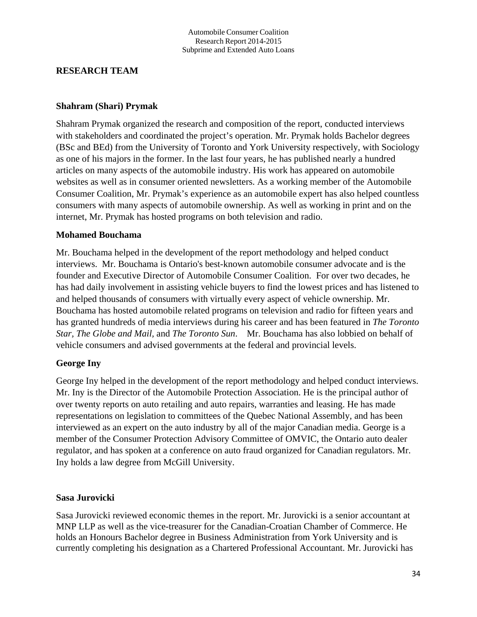## **RESEARCH TEAM**

### **Shahram (Shari) Prymak**

Shahram Prymak organized the research and composition of the report, conducted interviews with stakeholders and coordinated the project's operation. Mr. Prymak holds Bachelor degrees (BSc and BEd) from the University of Toronto and York University respectively, with Sociology as one of his majors in the former. In the last four years, he has published nearly a hundred articles on many aspects of the automobile industry. His work has appeared on automobile websites as well as in consumer oriented newsletters. As a working member of the Automobile Consumer Coalition, Mr. Prymak's experience as an automobile expert has also helped countless consumers with many aspects of automobile ownership. As well as working in print and on the internet, Mr. Prymak has hosted programs on both television and radio.

### **Mohamed Bouchama**

Mr. Bouchama helped in the development of the report methodology and helped conduct interviews. Mr. Bouchama is Ontario's best-known automobile consumer advocate and is the founder and Executive Director of Automobile Consumer Coalition. For over two decades, he has had daily involvement in assisting vehicle buyers to find the lowest prices and has listened to and helped thousands of consumers with virtually every aspect of vehicle ownership. Mr. Bouchama has hosted automobile related programs on television and radio for fifteen years and has granted hundreds of media interviews during his career and has been featured in *The Toronto Star, The Globe and Mail,* and *The Toronto Sun*. Mr. Bouchama has also lobbied on behalf of vehicle consumers and advised governments at the federal and provincial levels.

## **George Iny**

George Iny helped in the development of the report methodology and helped conduct interviews. Mr. Iny is the Director of the Automobile Protection Association. He is the principal author of over twenty reports on auto retailing and auto repairs, warranties and leasing. He has made representations on legislation to committees of the Quebec National Assembly, and has been interviewed as an expert on the auto industry by all of the major Canadian media. George is a member of the Consumer Protection Advisory Committee of OMVIC, the Ontario auto dealer regulator, and has spoken at a conference on auto fraud organized for Canadian regulators. Mr. Iny holds a law degree from McGill University.

### **Sasa Jurovicki**

Sasa Jurovicki reviewed economic themes in the report. Mr. Jurovicki is a senior accountant at MNP LLP as well as the vice-treasurer for the Canadian-Croatian Chamber of Commerce. He holds an Honours Bachelor degree in Business Administration from York University and is currently completing his designation as a Chartered Professional Accountant. Mr. Jurovicki has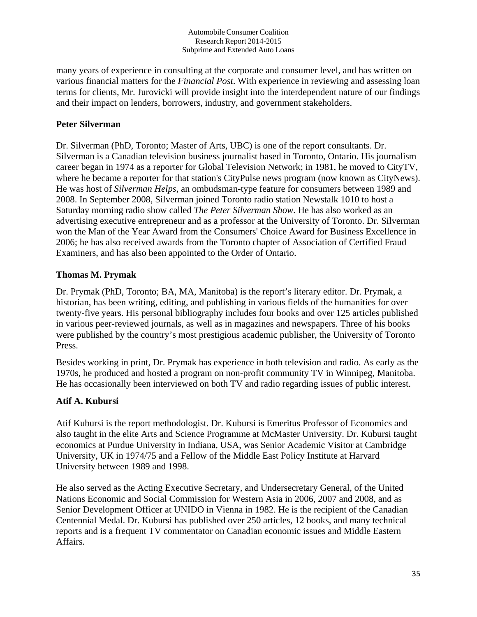many years of experience in consulting at the corporate and consumer level, and has written on various financial matters for the *Financial Post*. With experience in reviewing and assessing loan terms for clients, Mr. Jurovicki will provide insight into the interdependent nature of our findings and their impact on lenders, borrowers, industry, and government stakeholders.

## **Peter Silverman**

Dr. Silverman (PhD, Toronto; Master of Arts, UBC) is one of the report consultants. Dr. Silverman is a Canadian television business journalist based in Toronto, Ontario. His journalism career began in 1974 as a reporter for Global Television Network; in 1981, he moved to CityTV, where he became a reporter for that station's CityPulse news program (now known as CityNews). He was host of *Silverman Helps*, an ombudsman-type feature for consumers between 1989 and 2008. In September 2008, Silverman joined Toronto radio station Newstalk 1010 to host a Saturday morning radio show called *The Peter Silverman Show*. He has also worked as an advertising executive entrepreneur and as a professor at the University of Toronto. Dr. Silverman won the Man of the Year Award from the Consumers' Choice Award for Business Excellence in 2006; he has also received awards from the Toronto chapter of Association of Certified Fraud Examiners, and has also been appointed to the Order of Ontario.

## **Thomas M. Prymak**

Dr. Prymak (PhD, Toronto; BA, MA, Manitoba) is the report's literary editor. Dr. Prymak, a historian, has been writing, editing, and publishing in various fields of the humanities for over twenty-five years. His personal bibliography includes four books and over 125 articles published in various peer-reviewed journals, as well as in magazines and newspapers. Three of his books were published by the country's most prestigious academic publisher, the University of Toronto Press.

Besides working in print, Dr. Prymak has experience in both television and radio. As early as the 1970s, he produced and hosted a program on non-profit community TV in Winnipeg, Manitoba. He has occasionally been interviewed on both TV and radio regarding issues of public interest.

## **Atif A. Kubursi**

Atif Kubursi is the report methodologist. Dr. Kubursi is Emeritus Professor of Economics and also taught in the elite Arts and Science Programme at McMaster University. Dr. Kubursi taught economics at Purdue University in Indiana, USA, was Senior Academic Visitor at Cambridge University, UK in 1974/75 and a Fellow of the Middle East Policy Institute at Harvard University between 1989 and 1998.

He also served as the Acting Executive Secretary, and Undersecretary General, of the United Nations Economic and Social Commission for Western Asia in 2006, 2007 and 2008, and as Senior Development Officer at UNIDO in Vienna in 1982. He is the recipient of the Canadian Centennial Medal. Dr. Kubursi has published over 250 articles, 12 books, and many technical reports and is a frequent TV commentator on Canadian economic issues and Middle Eastern Affairs.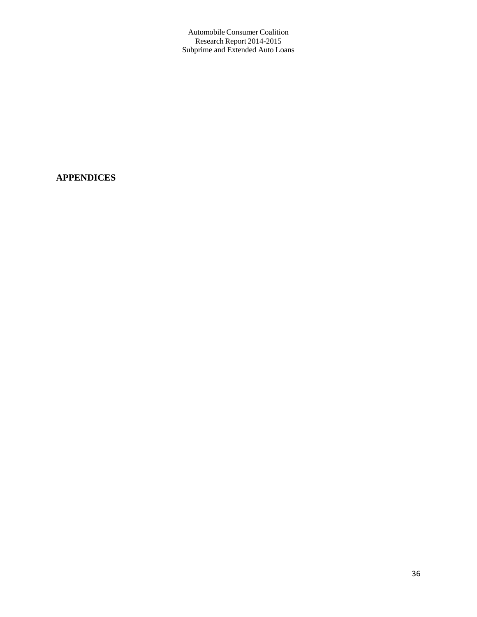## **APPENDICES**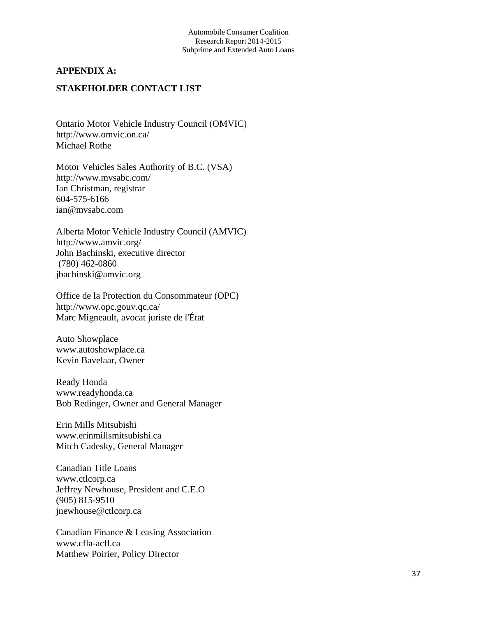### **APPENDIX A:**

## **STAKEHOLDER CONTACT LIST**

Ontario Motor Vehicle Industry Council (OMVIC) http://www.omvic.on.ca/ Michael Rothe

Motor Vehicles Sales Authority of B.C. (VSA) http://www.mvsabc.com/ Ian Christman, registrar 604-575-6166 ian@mvsabc.com

Alberta Motor Vehicle Industry Council (AMVIC) http://www.amvic.org/ John Bachinski, executive director (780) 462-0860 jbachinski@amvic.org

Office de la Protection du Consommateur (OPC) http://www.opc.gouv.qc.ca/ Marc Migneault, avocat juriste de l'État

Auto Showplace www.autoshowplace.ca Kevin Bavelaar, Owner

Ready Honda www.readyhonda.ca Bob Redinger, Owner and General Manager

Erin Mills Mitsubishi www.erinmillsmitsubishi.ca Mitch Cadesky, General Manager

Canadian Title Loans www.ctlcorp.ca Jeffrey Newhouse, President and C.E.O (905) 815-9510 jnewhouse@ctlcorp.ca

Canadian Finance & Leasing Association www.cfla-acfl.ca Matthew Poirier, Policy Director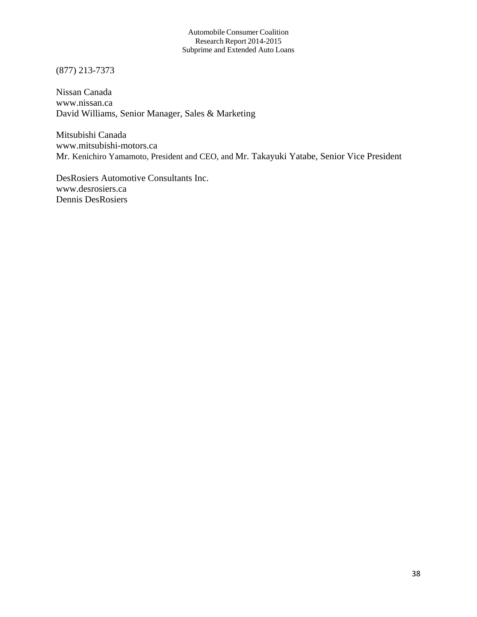(877) 213-7373

Nissan Canada www.nissan.ca David Williams, Senior Manager, Sales & Marketing

Mitsubishi Canada www.mitsubishi-motors.ca Mr. Kenichiro Yamamoto, President and CEO, and Mr. Takayuki Yatabe, Senior Vice President

DesRosiers Automotive Consultants Inc. www.desrosiers.ca Dennis DesRosiers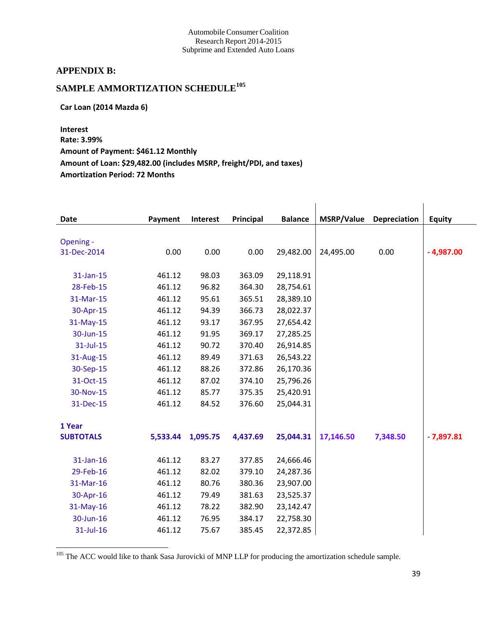#### **APPENDIX B:**

# **SAMPLE AMMORTIZATION SCHEDULE<sup>105</sup>**

**Car Loan (2014 Mazda 6)** 

**Interest Rate: 3.99% Amount of Payment: \$461.12 Monthly Amount of Loan: \$29,482.00 (includes MSRP, freight/PDI, and taxes) Amortization Period: 72 Months**

| Date             | Payment  | Interest | Principal | <b>Balance</b> | MSRP/Value | Depreciation | <b>Equity</b> |
|------------------|----------|----------|-----------|----------------|------------|--------------|---------------|
|                  |          |          |           |                |            |              |               |
| Opening -        |          |          |           |                |            |              |               |
| 31-Dec-2014      | 0.00     | 0.00     | 0.00      | 29,482.00      | 24,495.00  | 0.00         | $-4,987.00$   |
| 31-Jan-15        | 461.12   | 98.03    | 363.09    | 29,118.91      |            |              |               |
|                  |          |          |           |                |            |              |               |
| 28-Feb-15        | 461.12   | 96.82    | 364.30    | 28,754.61      |            |              |               |
| 31-Mar-15        | 461.12   | 95.61    | 365.51    | 28,389.10      |            |              |               |
| 30-Apr-15        | 461.12   | 94.39    | 366.73    | 28,022.37      |            |              |               |
| 31-May-15        | 461.12   | 93.17    | 367.95    | 27,654.42      |            |              |               |
| 30-Jun-15        | 461.12   | 91.95    | 369.17    | 27,285.25      |            |              |               |
| 31-Jul-15        | 461.12   | 90.72    | 370.40    | 26,914.85      |            |              |               |
| 31-Aug-15        | 461.12   | 89.49    | 371.63    | 26,543.22      |            |              |               |
| 30-Sep-15        | 461.12   | 88.26    | 372.86    | 26,170.36      |            |              |               |
| 31-Oct-15        | 461.12   | 87.02    | 374.10    | 25,796.26      |            |              |               |
| 30-Nov-15        | 461.12   | 85.77    | 375.35    | 25,420.91      |            |              |               |
| 31-Dec-15        | 461.12   | 84.52    | 376.60    | 25,044.31      |            |              |               |
|                  |          |          |           |                |            |              |               |
| 1 Year           |          |          |           |                |            |              |               |
| <b>SUBTOTALS</b> | 5,533.44 | 1,095.75 | 4,437.69  | 25,044.31      | 17,146.50  | 7,348.50     | $-7,897.81$   |
|                  |          |          |           |                |            |              |               |
| 31-Jan-16        | 461.12   | 83.27    | 377.85    | 24,666.46      |            |              |               |
| 29-Feb-16        | 461.12   | 82.02    | 379.10    | 24,287.36      |            |              |               |
| 31-Mar-16        | 461.12   | 80.76    | 380.36    | 23,907.00      |            |              |               |
| 30-Apr-16        | 461.12   | 79.49    | 381.63    | 23,525.37      |            |              |               |
| 31-May-16        | 461.12   | 78.22    | 382.90    | 23,142.47      |            |              |               |
| 30-Jun-16        | 461.12   | 76.95    | 384.17    | 22,758.30      |            |              |               |
| 31-Jul-16        | 461.12   | 75.67    | 385.45    | 22,372.85      |            |              |               |
|                  |          |          |           |                |            |              |               |

<sup>105</sup> The ACC would like to thank Sasa Jurovicki of MNP LLP for producing the amortization schedule sample.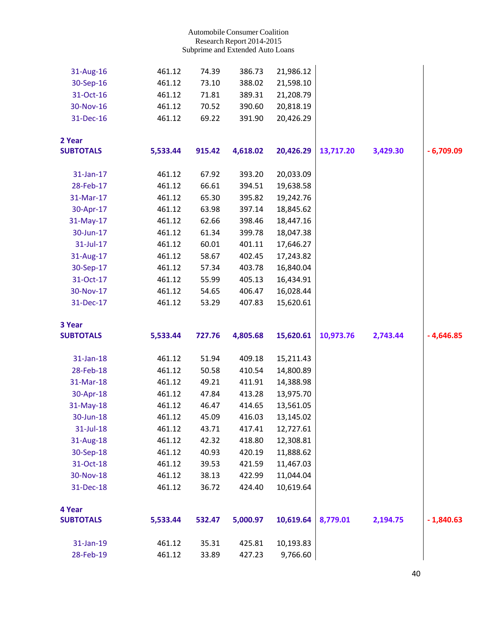| 31-Aug-16        | 461.12   | 74.39  | 386.73   | 21,986.12 |           |          |             |
|------------------|----------|--------|----------|-----------|-----------|----------|-------------|
| 30-Sep-16        | 461.12   | 73.10  | 388.02   | 21,598.10 |           |          |             |
| 31-Oct-16        | 461.12   | 71.81  | 389.31   | 21,208.79 |           |          |             |
| 30-Nov-16        | 461.12   | 70.52  | 390.60   | 20,818.19 |           |          |             |
| 31-Dec-16        | 461.12   | 69.22  | 391.90   | 20,426.29 |           |          |             |
| 2 Year           |          |        |          |           |           |          |             |
| <b>SUBTOTALS</b> | 5,533.44 | 915.42 | 4,618.02 | 20,426.29 | 13,717.20 | 3,429.30 | $-6,709.09$ |
| 31-Jan-17        | 461.12   | 67.92  | 393.20   | 20,033.09 |           |          |             |
| 28-Feb-17        | 461.12   | 66.61  | 394.51   | 19,638.58 |           |          |             |
| 31-Mar-17        | 461.12   | 65.30  | 395.82   | 19,242.76 |           |          |             |
| 30-Apr-17        | 461.12   | 63.98  | 397.14   | 18,845.62 |           |          |             |
| 31-May-17        | 461.12   | 62.66  | 398.46   | 18,447.16 |           |          |             |
| 30-Jun-17        | 461.12   | 61.34  | 399.78   | 18,047.38 |           |          |             |
| 31-Jul-17        | 461.12   | 60.01  | 401.11   | 17,646.27 |           |          |             |
| 31-Aug-17        | 461.12   | 58.67  | 402.45   | 17,243.82 |           |          |             |
| 30-Sep-17        | 461.12   | 57.34  | 403.78   | 16,840.04 |           |          |             |
| 31-Oct-17        | 461.12   | 55.99  | 405.13   | 16,434.91 |           |          |             |
| 30-Nov-17        | 461.12   | 54.65  | 406.47   | 16,028.44 |           |          |             |
| 31-Dec-17        | 461.12   | 53.29  | 407.83   | 15,620.61 |           |          |             |
| 3 Year           |          |        |          |           |           |          |             |
| <b>SUBTOTALS</b> | 5,533.44 | 727.76 | 4,805.68 | 15,620.61 | 10,973.76 | 2,743.44 | $-4,646.85$ |
| 31-Jan-18        | 461.12   | 51.94  | 409.18   | 15,211.43 |           |          |             |
| 28-Feb-18        | 461.12   | 50.58  | 410.54   | 14,800.89 |           |          |             |
| 31-Mar-18        | 461.12   | 49.21  | 411.91   | 14,388.98 |           |          |             |
| 30-Apr-18        | 461.12   | 47.84  | 413.28   | 13,975.70 |           |          |             |
| 31-May-18        | 461.12   | 46.47  | 414.65   | 13,561.05 |           |          |             |
| 30-Jun-18        | 461.12   | 45.09  | 416.03   | 13,145.02 |           |          |             |
| 31-Jul-18        | 461.12   | 43.71  | 417.41   | 12,727.61 |           |          |             |
| 31-Aug-18        | 461.12   | 42.32  | 418.80   | 12,308.81 |           |          |             |
| 30-Sep-18        | 461.12   | 40.93  | 420.19   | 11,888.62 |           |          |             |
| 31-Oct-18        | 461.12   | 39.53  | 421.59   | 11,467.03 |           |          |             |
| 30-Nov-18        | 461.12   | 38.13  | 422.99   | 11,044.04 |           |          |             |
| 31-Dec-18        | 461.12   | 36.72  | 424.40   | 10,619.64 |           |          |             |
|                  |          |        |          |           |           |          |             |
| 4 Year           |          |        |          |           |           |          |             |
| <b>SUBTOTALS</b> | 5,533.44 | 532.47 | 5,000.97 | 10,619.64 | 8,779.01  | 2,194.75 | $-1,840.63$ |
| 31-Jan-19        | 461.12   | 35.31  | 425.81   | 10,193.83 |           |          |             |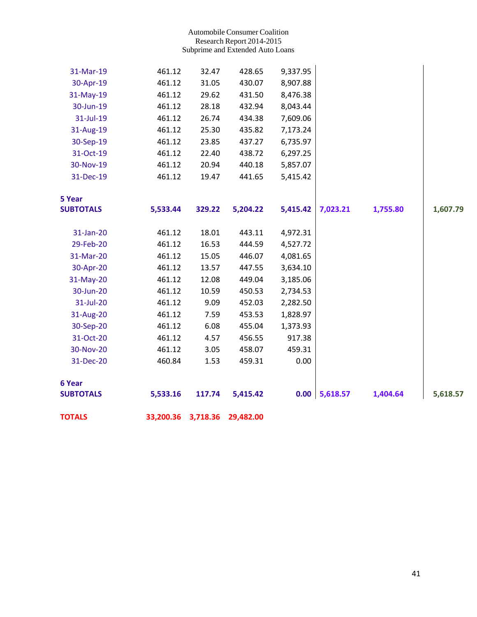| <b>TOTALS</b>              | 33,200.36 3,718.36 |        | 29,482.00 |          |          |          |          |
|----------------------------|--------------------|--------|-----------|----------|----------|----------|----------|
| 6 Year<br><b>SUBTOTALS</b> | 5,533.16           | 117.74 | 5,415.42  | 0.00     | 5,618.57 | 1,404.64 | 5,618.57 |
| 31-Dec-20                  | 460.84             | 1.53   | 459.31    | 0.00     |          |          |          |
| 30-Nov-20                  | 461.12             | 3.05   | 458.07    | 459.31   |          |          |          |
| 31-Oct-20                  | 461.12             | 4.57   | 456.55    | 917.38   |          |          |          |
| 30-Sep-20                  | 461.12             | 6.08   | 455.04    | 1,373.93 |          |          |          |
| 31-Aug-20                  | 461.12             | 7.59   | 453.53    | 1,828.97 |          |          |          |
| 31-Jul-20                  | 461.12             | 9.09   | 452.03    | 2,282.50 |          |          |          |
| 30-Jun-20                  | 461.12             | 10.59  | 450.53    | 2,734.53 |          |          |          |
| 31-May-20                  | 461.12             | 12.08  | 449.04    | 3,185.06 |          |          |          |
| 30-Apr-20                  | 461.12             | 13.57  | 447.55    | 3,634.10 |          |          |          |
| 31-Mar-20                  | 461.12             | 15.05  | 446.07    | 4,081.65 |          |          |          |
| 29-Feb-20                  | 461.12             | 16.53  | 444.59    | 4,527.72 |          |          |          |
| 31-Jan-20                  | 461.12             | 18.01  | 443.11    | 4,972.31 |          |          |          |
| <b>SUBTOTALS</b>           | 5,533.44           | 329.22 | 5,204.22  | 5,415.42 | 7,023.21 | 1,755.80 | 1,607.79 |
| 5 Year                     |                    |        |           |          |          |          |          |
| 31-Dec-19                  | 461.12             | 19.47  | 441.65    | 5,415.42 |          |          |          |
| 30-Nov-19                  | 461.12             | 20.94  | 440.18    | 5,857.07 |          |          |          |
| 31-Oct-19                  | 461.12             | 22.40  | 438.72    | 6,297.25 |          |          |          |
| 30-Sep-19                  | 461.12             | 23.85  | 437.27    | 6,735.97 |          |          |          |
| 31-Aug-19                  | 461.12             | 25.30  | 435.82    | 7,173.24 |          |          |          |
| 31-Jul-19                  | 461.12             | 26.74  | 434.38    | 7,609.06 |          |          |          |
| 30-Jun-19                  | 461.12             | 28.18  | 432.94    | 8,043.44 |          |          |          |
| 31-May-19                  | 461.12             | 29.62  | 431.50    | 8,476.38 |          |          |          |
| 30-Apr-19                  | 461.12             | 31.05  | 430.07    | 8,907.88 |          |          |          |
| 31-Mar-19                  | 461.12             | 32.47  | 428.65    | 9,337.95 |          |          |          |
|                            |                    |        |           |          |          |          |          |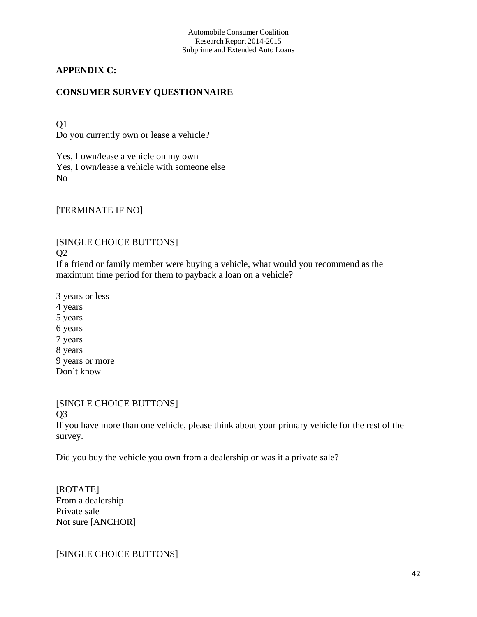## **APPENDIX C:**

## **CONSUMER SURVEY QUESTIONNAIRE**

Q1 Do you currently own or lease a vehicle?

Yes, I own/lease a vehicle on my own Yes, I own/lease a vehicle with someone else No

[TERMINATE IF NO]

[SINGLE CHOICE BUTTONS]  $Q<sub>2</sub>$ 

If a friend or family member were buying a vehicle, what would you recommend as the maximum time period for them to payback a loan on a vehicle?

3 years or less 4 years 5 years 6 years 7 years 8 years 9 years or more Don`t know

## [SINGLE CHOICE BUTTONS]

Q3

If you have more than one vehicle, please think about your primary vehicle for the rest of the survey.

Did you buy the vehicle you own from a dealership or was it a private sale?

[ROTATE] From a dealership Private sale Not sure [ANCHOR]

[SINGLE CHOICE BUTTONS]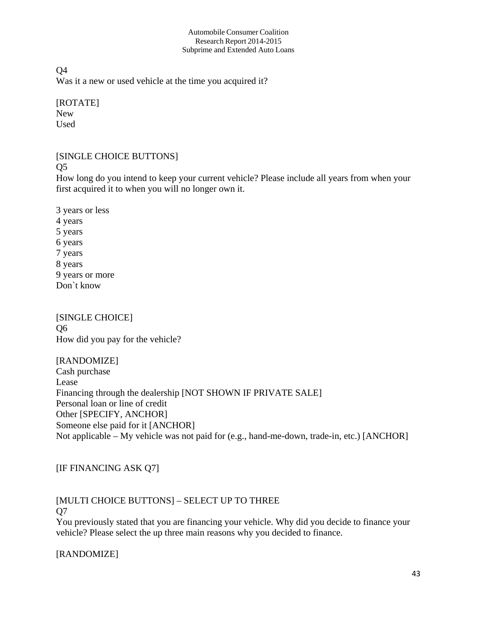Q4 Was it a new or used vehicle at the time you acquired it?

[ROTATE] New Used

## [SINGLE CHOICE BUTTONS]

Q5

How long do you intend to keep your current vehicle? Please include all years from when your first acquired it to when you will no longer own it.

3 years or less 4 years 5 years 6 years 7 years 8 years 9 years or more Don`t know

[SINGLE CHOICE] Q6 How did you pay for the vehicle?

[RANDOMIZE]

Cash purchase Lease Financing through the dealership [NOT SHOWN IF PRIVATE SALE] Personal loan or line of credit Other [SPECIFY, ANCHOR] Someone else paid for it [ANCHOR] Not applicable – My vehicle was not paid for (e.g., hand-me-down, trade-in, etc.) [ANCHOR]

[IF FINANCING ASK Q7]

# [MULTI CHOICE BUTTONS] – SELECT UP TO THREE

Q7

You previously stated that you are financing your vehicle. Why did you decide to finance your vehicle? Please select the up three main reasons why you decided to finance.

[RANDOMIZE]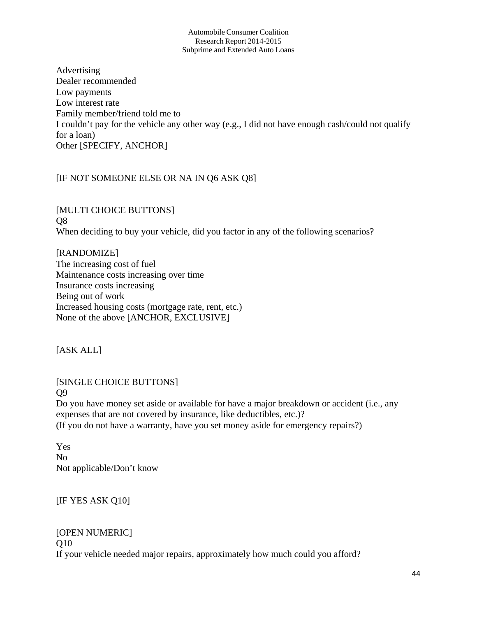Advertising Dealer recommended Low payments Low interest rate Family member/friend told me to I couldn't pay for the vehicle any other way (e.g., I did not have enough cash/could not qualify for a loan) Other [SPECIFY, ANCHOR]

## [IF NOT SOMEONE ELSE OR NA IN Q6 ASK Q8]

[MULTI CHOICE BUTTONS] Q8 When deciding to buy your vehicle, did you factor in any of the following scenarios?

[RANDOMIZE] The increasing cost of fuel Maintenance costs increasing over time Insurance costs increasing Being out of work Increased housing costs (mortgage rate, rent, etc.) None of the above [ANCHOR, EXCLUSIVE]

[ASK ALL]

[SINGLE CHOICE BUTTONS] Q9

Do you have money set aside or available for have a major breakdown or accident (i.e., any expenses that are not covered by insurance, like deductibles, etc.)? (If you do not have a warranty, have you set money aside for emergency repairs?)

Yes No Not applicable/Don't know

[IF YES ASK Q10]

[OPEN NUMERIC] Q10 If your vehicle needed major repairs, approximately how much could you afford?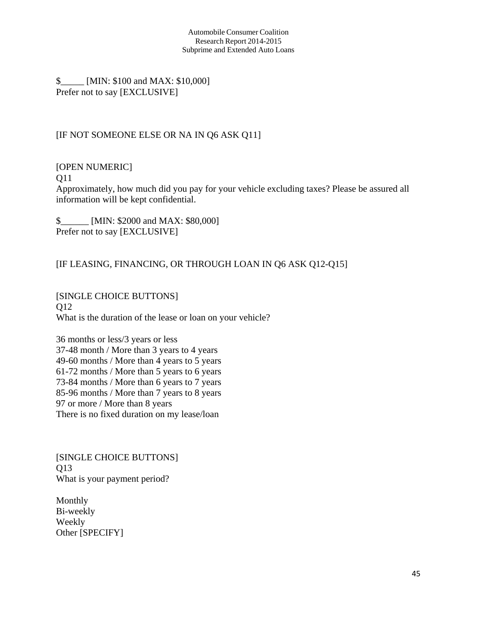\$\_\_\_\_\_ [MIN: \$100 and MAX: \$10,000] Prefer not to say [EXCLUSIVE]

## [IF NOT SOMEONE ELSE OR NA IN Q6 ASK Q11]

[OPEN NUMERIC]

Q11

Approximately, how much did you pay for your vehicle excluding taxes? Please be assured all information will be kept confidential.

\$\_\_\_\_\_\_ [MIN: \$2000 and MAX: \$80,000] Prefer not to say [EXCLUSIVE]

## [IF LEASING, FINANCING, OR THROUGH LOAN IN Q6 ASK Q12-Q15]

[SINGLE CHOICE BUTTONS] Q12 What is the duration of the lease or loan on your vehicle?

36 months or less/3 years or less 37-48 month / More than 3 years to 4 years 49-60 months / More than 4 years to 5 years 61-72 months / More than 5 years to 6 years 73-84 months / More than 6 years to 7 years 85-96 months / More than 7 years to 8 years 97 or more / More than 8 years There is no fixed duration on my lease/loan

[SINGLE CHOICE BUTTONS] Q13 What is your payment period?

Monthly Bi-weekly Weekly Other [SPECIFY]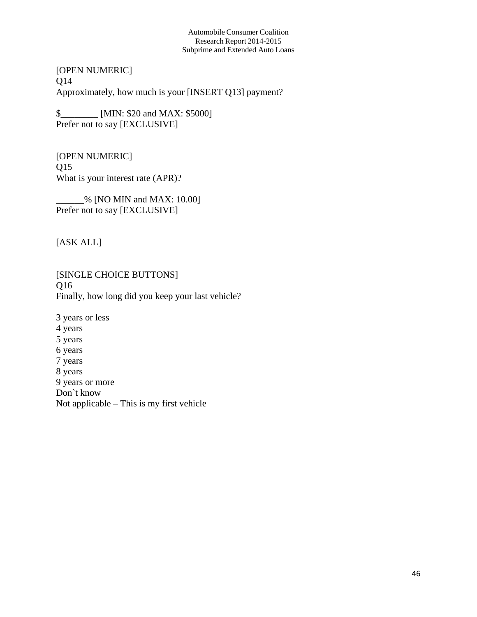[OPEN NUMERIC] Q14 Approximately, how much is your [INSERT Q13] payment?

\$\_\_\_\_\_\_\_\_ [MIN: \$20 and MAX: \$5000] Prefer not to say [EXCLUSIVE]

[OPEN NUMERIC] Q15 What is your interest rate (APR)?

\_\_\_\_\_\_% [NO MIN and MAX: 10.00] Prefer not to say [EXCLUSIVE]

[ASK ALL]

[SINGLE CHOICE BUTTONS] Q16 Finally, how long did you keep your last vehicle?

3 years or less 4 years 5 years 6 years 7 years 8 years 9 years or more Don`t know Not applicable – This is my first vehicle